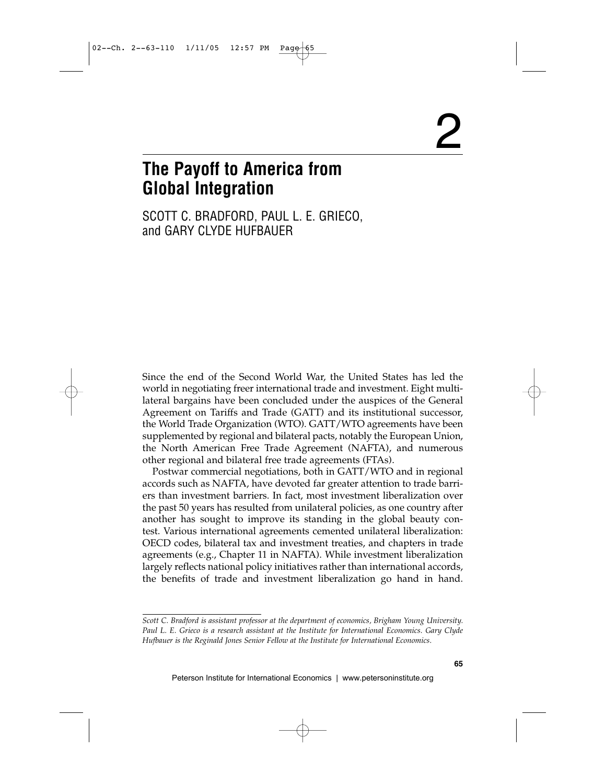# **The Payoff to America from Global Integration**

SCOTT C. BRADFORD, PAUL L. E. GRIECO, and GARY CLYDE HUFBAUER

Since the end of the Second World War, the United States has led the world in negotiating freer international trade and investment. Eight multilateral bargains have been concluded under the auspices of the General Agreement on Tariffs and Trade (GATT) and its institutional successor, the World Trade Organization (WTO). GATT/WTO agreements have been supplemented by regional and bilateral pacts, notably the European Union, the North American Free Trade Agreement (NAFTA), and numerous other regional and bilateral free trade agreements (FTAs).

Postwar commercial negotiations, both in GATT/WTO and in regional accords such as NAFTA, have devoted far greater attention to trade barriers than investment barriers. In fact, most investment liberalization over the past 50 years has resulted from unilateral policies, as one country after another has sought to improve its standing in the global beauty contest. Various international agreements cemented unilateral liberalization: OECD codes, bilateral tax and investment treaties, and chapters in trade agreements (e.g., Chapter 11 in NAFTA). While investment liberalization largely reflects national policy initiatives rather than international accords, the benefits of trade and investment liberalization go hand in hand.

*Scott C. Bradford is assistant professor at the department of economics, Brigham Young University. Paul L. E. Grieco is a research assistant at the Institute for International Economics. Gary Clyde Hufbauer is the Reginald Jones Senior Fellow at the Institute for International Economics.*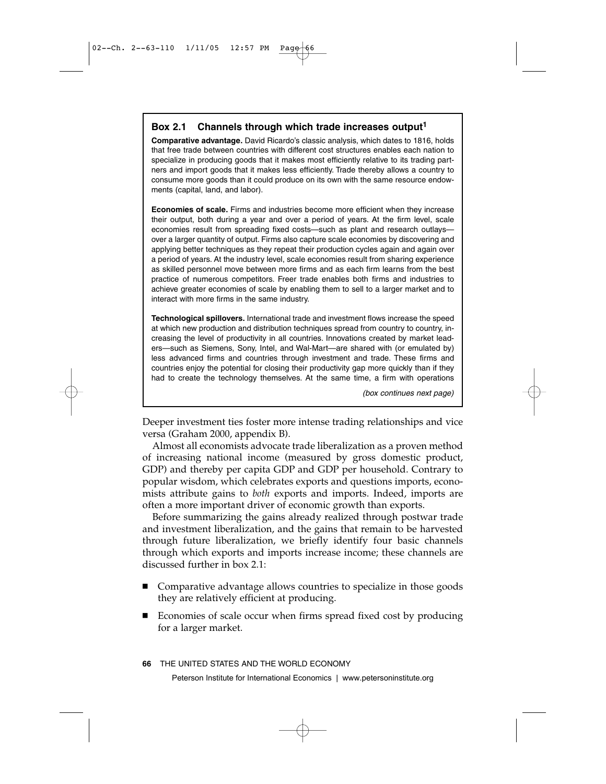## **Box 2.1 Channels through which trade increases output<sup>1</sup>**

**Comparative advantage.** David Ricardo's classic analysis, which dates to 1816, holds that free trade between countries with different cost structures enables each nation to specialize in producing goods that it makes most efficiently relative to its trading partners and import goods that it makes less efficiently. Trade thereby allows a country to consume more goods than it could produce on its own with the same resource endowments (capital, land, and labor).

**Economies of scale.** Firms and industries become more efficient when they increase their output, both during a year and over a period of years. At the firm level, scale economies result from spreading fixed costs—such as plant and research outlays over a larger quantity of output. Firms also capture scale economies by discovering and applying better techniques as they repeat their production cycles again and again over a period of years. At the industry level, scale economies result from sharing experience as skilled personnel move between more firms and as each firm learns from the best practice of numerous competitors. Freer trade enables both firms and industries to achieve greater economies of scale by enabling them to sell to a larger market and to interact with more firms in the same industry.

**Technological spillovers.** International trade and investment flows increase the speed at which new production and distribution techniques spread from country to country, increasing the level of productivity in all countries. Innovations created by market leaders—such as Siemens, Sony, Intel, and Wal-Mart—are shared with (or emulated by) less advanced firms and countries through investment and trade. These firms and countries enjoy the potential for closing their productivity gap more quickly than if they had to create the technology themselves. At the same time, a firm with operations

*(box continues next page)*

Deeper investment ties foster more intense trading relationships and vice versa (Graham 2000, appendix B).

Almost all economists advocate trade liberalization as a proven method of increasing national income (measured by gross domestic product, GDP) and thereby per capita GDP and GDP per household. Contrary to popular wisdom, which celebrates exports and questions imports, economists attribute gains to *both* exports and imports. Indeed, imports are often a more important driver of economic growth than exports.

Before summarizing the gains already realized through postwar trade and investment liberalization, and the gains that remain to be harvested through future liberalization, we briefly identify four basic channels through which exports and imports increase income; these channels are discussed further in box 2.1:

- Comparative advantage allows countries to specialize in those goods they are relatively efficient at producing.
- - Economies of scale occur when firms spread fixed cost by producing for a larger market.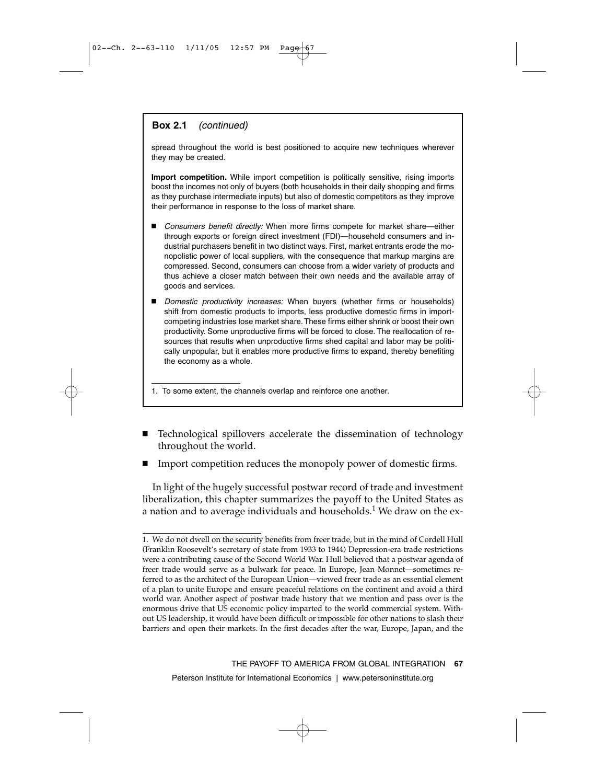# **Box 2.1** *(continued)*

spread throughout the world is best positioned to acquire new techniques wherever they may be created.

**Import competition.** While import competition is politically sensitive, rising imports boost the incomes not only of buyers (both households in their daily shopping and firms as they purchase intermediate inputs) but also of domestic competitors as they improve their performance in response to the loss of market share.

- *Consumers benefit directly:* When more firms compete for market share—either through exports or foreign direct investment (FDI)—household consumers and industrial purchasers benefit in two distinct ways. First, market entrants erode the monopolistic power of local suppliers, with the consequence that markup margins are compressed. Second, consumers can choose from a wider variety of products and thus achieve a closer match between their own needs and the available array of goods and services.
- **Domestic productivity increases: When buyers (whether firms or households)** shift from domestic products to imports, less productive domestic firms in importcompeting industries lose market share.These firms either shrink or boost their own productivity. Some unproductive firms will be forced to close. The reallocation of resources that results when unproductive firms shed capital and labor may be politically unpopular, but it enables more productive firms to expand, thereby benefiting the economy as a whole.

1. To some extent, the channels overlap and reinforce one another.

- - Technological spillovers accelerate the dissemination of technology throughout the world.
- -Import competition reduces the monopoly power of domestic firms.

In light of the hugely successful postwar record of trade and investment liberalization, this chapter summarizes the payoff to the United States as a nation and to average individuals and households.<sup>1</sup> We draw on the ex-

<sup>1.</sup> We do not dwell on the security benefits from freer trade, but in the mind of Cordell Hull (Franklin Roosevelt's secretary of state from 1933 to 1944) Depression-era trade restrictions were a contributing cause of the Second World War. Hull believed that a postwar agenda of freer trade would serve as a bulwark for peace. In Europe, Jean Monnet—sometimes referred to as the architect of the European Union—viewed freer trade as an essential element of a plan to unite Europe and ensure peaceful relations on the continent and avoid a third world war. Another aspect of postwar trade history that we mention and pass over is the enormous drive that US economic policy imparted to the world commercial system. Without US leadership, it would have been difficult or impossible for other nations to slash their barriers and open their markets. In the first decades after the war, Europe, Japan, and the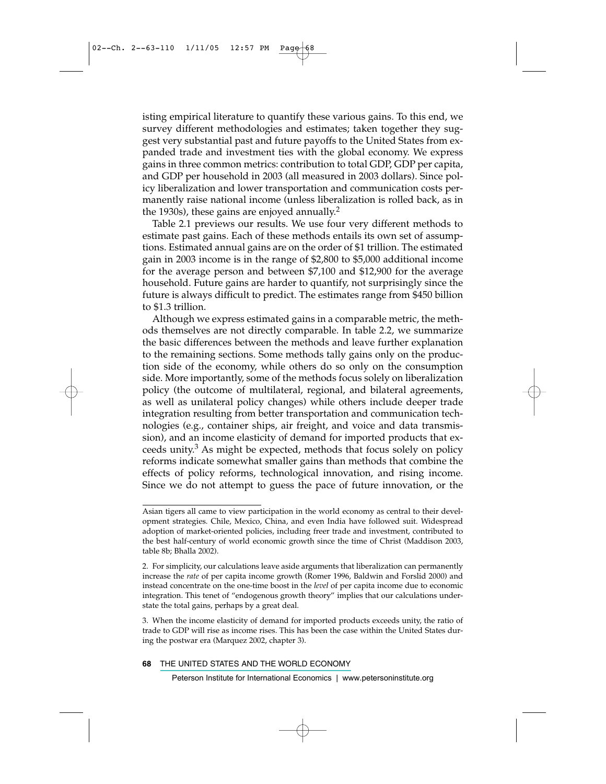isting empirical literature to quantify these various gains. To this end, we survey different methodologies and estimates; taken together they suggest very substantial past and future payoffs to the United States from expanded trade and investment ties with the global economy. We express gains in three common metrics: contribution to total GDP, GDP per capita, and GDP per household in 2003 (all measured in 2003 dollars). Since policy liberalization and lower transportation and communication costs permanently raise national income (unless liberalization is rolled back, as in the 1930s), these gains are enjoyed annually. $2$ 

Table 2.1 previews our results. We use four very different methods to estimate past gains. Each of these methods entails its own set of assumptions. Estimated annual gains are on the order of \$1 trillion. The estimated gain in 2003 income is in the range of \$2,800 to \$5,000 additional income for the average person and between \$7,100 and \$12,900 for the average household. Future gains are harder to quantify, not surprisingly since the future is always difficult to predict. The estimates range from \$450 billion to \$1.3 trillion.

Although we express estimated gains in a comparable metric, the methods themselves are not directly comparable. In table 2.2, we summarize the basic differences between the methods and leave further explanation to the remaining sections. Some methods tally gains only on the production side of the economy, while others do so only on the consumption side. More importantly, some of the methods focus solely on liberalization policy (the outcome of multilateral, regional, and bilateral agreements, as well as unilateral policy changes) while others include deeper trade integration resulting from better transportation and communication technologies (e.g., container ships, air freight, and voice and data transmission), and an income elasticity of demand for imported products that exceeds unity.<sup>3</sup> As might be expected, methods that focus solely on policy reforms indicate somewhat smaller gains than methods that combine the effects of policy reforms, technological innovation, and rising income. Since we do not attempt to guess the pace of future innovation, or the

#### **68** [THE UNITED STATES AND THE WORLD ECONOMY](http://bookstore.petersoninstitute.org/book-store/3802.html)

Asian tigers all came to view participation in the world economy as central to their development strategies. Chile, Mexico, China, and even India have followed suit. Widespread adoption of market-oriented policies, including freer trade and investment, contributed to the best half-century of world economic growth since the time of Christ (Maddison 2003, table 8b; Bhalla 2002).

<sup>2.</sup> For simplicity, our calculations leave aside arguments that liberalization can permanently increase the *rate* of per capita income growth (Romer 1996, Baldwin and Forslid 2000) and instead concentrate on the one-time boost in the *level* of per capita income due to economic integration. This tenet of "endogenous growth theory" implies that our calculations understate the total gains, perhaps by a great deal.

<sup>3.</sup> When the income elasticity of demand for imported products exceeds unity, the ratio of trade to GDP will rise as income rises. This has been the case within the United States during the postwar era (Marquez 2002, chapter 3).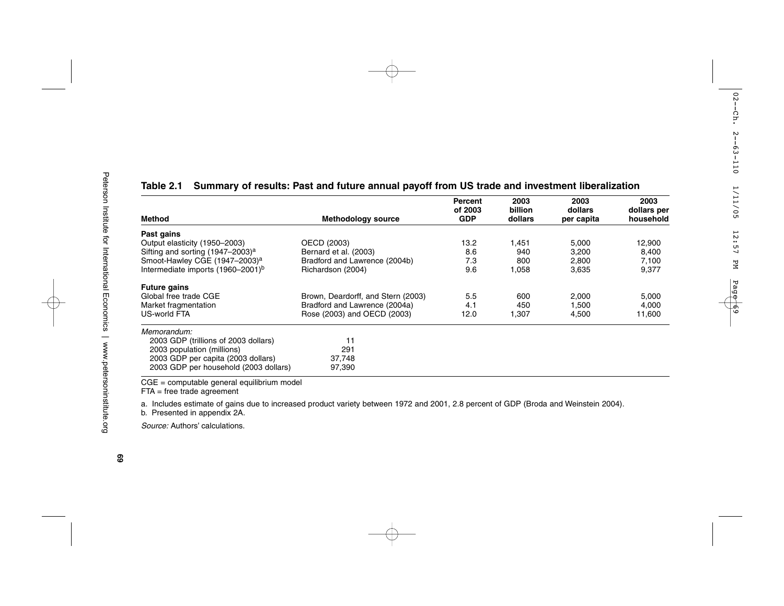| Method                                        | <b>Methodology source</b>          | <b>Percent</b><br>of 2003<br><b>GDP</b> | 2003<br>billion<br>dollars | 2003<br>dollars<br>per capita | 2003<br>dollars per<br>household |
|-----------------------------------------------|------------------------------------|-----------------------------------------|----------------------------|-------------------------------|----------------------------------|
| Past gains                                    |                                    |                                         |                            |                               |                                  |
| Output elasticity (1950–2003)                 | OECD (2003)                        | 13.2                                    | 451. ا                     | 5,000                         | 12,900                           |
| Sifting and sorting (1947-2003) <sup>a</sup>  | Bernard et al. (2003)              | 8.6                                     | 940                        | 3,200                         | 8,400                            |
| Smoot-Hawley CGE (1947-2003) <sup>a</sup>     | Bradford and Lawrence (2004b)      | 7.3                                     | 800                        | 2,800                         | 7,100                            |
| Intermediate imports (1960-2001) <sup>b</sup> | Richardson (2004)                  | 9.6                                     | .058                       | 3,635                         | 9,377                            |
| <b>Future gains</b>                           |                                    |                                         |                            |                               |                                  |
| Global free trade CGE                         | Brown, Deardorff, and Stern (2003) | 5.5                                     | 600                        | 2,000                         | 5,000                            |
| Market fragmentation                          | Bradford and Lawrence (2004a)      | 4.1                                     | 450                        | 1,500                         | 4,000                            |
| US-world FTA                                  | Rose (2003) and OECD (2003)        | 12.0                                    | 1,307                      | 4,500                         | 11,600                           |
| Memorandum:                                   |                                    |                                         |                            |                               |                                  |
| 2003 GDP (trillions of 2003 dollars)          | 11                                 |                                         |                            |                               |                                  |
| 2003 population (millions)                    | 291                                |                                         |                            |                               |                                  |
| 2003 GDP per capita (2003 dollars)            | 37,748                             |                                         |                            |                               |                                  |
| 2003 GDP per household (2003 dollars)         | 97,390                             |                                         |                            |                               |                                  |

### **Table 2.1 Summary of results: Past and future annual payoff from US trade and investment liberalization**

CGE = computable general equilibrium model

FTA = free trade agreement

a. Includes estimate of gains due to increased product variety between 1972 and 2001, 2.8 percent of GDP (Broda and Weinstein 2004).

b. Presented in appendix 2A.

*Source:* Authors' calculations.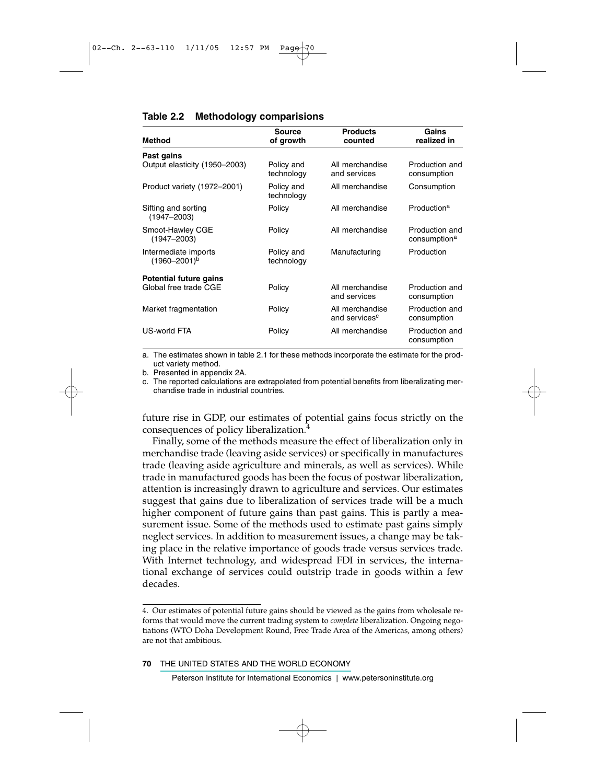| <b>Method</b>                             | Source<br>of growth      | <b>Products</b><br>counted                   | Gains<br>realized in                       |
|-------------------------------------------|--------------------------|----------------------------------------------|--------------------------------------------|
| Past gains                                |                          |                                              |                                            |
| Output elasticity (1950-2003)             | Policy and<br>technology | All merchandise<br>and services              | Production and<br>consumption              |
| Product variety (1972–2001)               | Policy and<br>technology | All merchandise                              | Consumption                                |
| Sifting and sorting<br>$(1947 - 2003)$    | Policy                   | All merchandise                              | Production <sup>a</sup>                    |
| Smoot-Hawley CGE<br>$(1947 - 2003)$       | Policy                   | All merchandise                              | Production and<br>consumption <sup>a</sup> |
| Intermediate imports<br>$(1960 - 2001)^b$ | Policy and<br>technology | Manufacturing                                | Production                                 |
| <b>Potential future gains</b>             |                          |                                              |                                            |
| Global free trade CGE                     | Policy                   | All merchandise<br>and services              | Production and<br>consumption              |
| Market fragmentation                      | Policy                   | All merchandise<br>and services <sup>c</sup> | Production and<br>consumption              |
| US-world FTA                              | Policy                   | All merchandise                              | Production and<br>consumption              |

### **Table 2.2 Methodology comparisions**

a. The estimates shown in table 2.1 for these methods incorporate the estimate for the product variety method.

b. Presented in appendix 2A.

c. The reported calculations are extrapolated from potential benefits from liberalizating merchandise trade in industrial countries.

future rise in GDP, our estimates of potential gains focus strictly on the consequences of policy liberalization.<sup>4</sup>

Finally, some of the methods measure the effect of liberalization only in merchandise trade (leaving aside services) or specifically in manufactures trade (leaving aside agriculture and minerals, as well as services). While trade in manufactured goods has been the focus of postwar liberalization, attention is increasingly drawn to agriculture and services. Our estimates suggest that gains due to liberalization of services trade will be a much higher component of future gains than past gains. This is partly a measurement issue. Some of the methods used to estimate past gains simply neglect services. In addition to measurement issues, a change may be taking place in the relative importance of goods trade versus services trade. With Internet technology, and widespread FDI in services, the international exchange of services could outstrip trade in goods within a few decades.

#### **70** [THE UNITED STATES AND THE WORLD ECONOMY](http://bookstore.petersoninstitute.org/book-store/3802.html)

<sup>4.</sup> Our estimates of potential future gains should be viewed as the gains from wholesale reforms that would move the current trading system to *complete* liberalization. Ongoing negotiations (WTO Doha Development Round, Free Trade Area of the Americas, among others) are not that ambitious.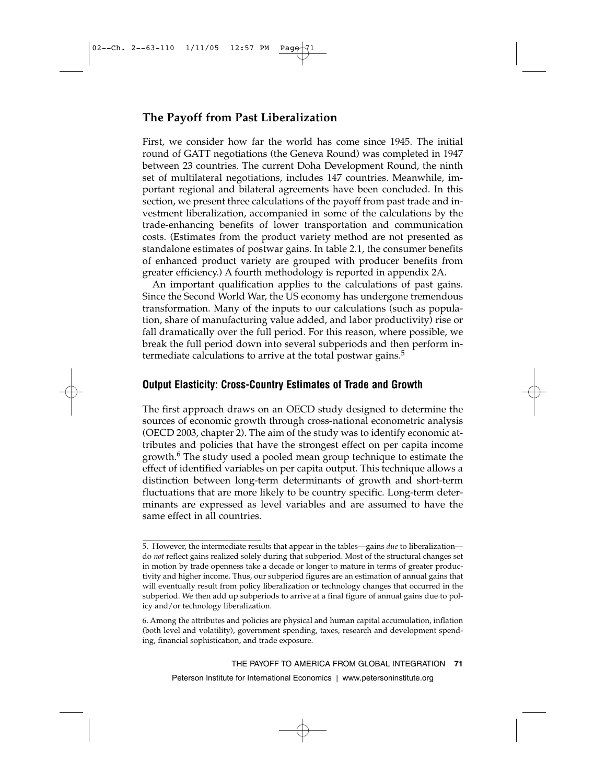# **The Payoff from Past Liberalization**

First, we consider how far the world has come since 1945. The initial round of GATT negotiations (the Geneva Round) was completed in 1947 between 23 countries. The current Doha Development Round, the ninth set of multilateral negotiations, includes 147 countries. Meanwhile, important regional and bilateral agreements have been concluded. In this section, we present three calculations of the payoff from past trade and investment liberalization, accompanied in some of the calculations by the trade-enhancing benefits of lower transportation and communication costs. (Estimates from the product variety method are not presented as standalone estimates of postwar gains. In table 2.1, the consumer benefits of enhanced product variety are grouped with producer benefits from greater efficiency.) A fourth methodology is reported in appendix 2A.

An important qualification applies to the calculations of past gains. Since the Second World War, the US economy has undergone tremendous transformation. Many of the inputs to our calculations (such as population, share of manufacturing value added, and labor productivity) rise or fall dramatically over the full period. For this reason, where possible, we break the full period down into several subperiods and then perform intermediate calculations to arrive at the total postwar gains.<sup>5</sup>

### **Output Elasticity: Cross-Country Estimates of Trade and Growth**

The first approach draws on an OECD study designed to determine the sources of economic growth through cross-national econometric analysis (OECD 2003, chapter 2). The aim of the study was to identify economic attributes and policies that have the strongest effect on per capita income growth.<sup>6</sup> The study used a pooled mean group technique to estimate the effect of identified variables on per capita output. This technique allows a distinction between long-term determinants of growth and short-term fluctuations that are more likely to be country specific. Long-term determinants are expressed as level variables and are assumed to have the same effect in all countries.

<sup>5.</sup> However, the intermediate results that appear in the tables—gains *due* to liberalization do *not* reflect gains realized solely during that subperiod. Most of the structural changes set in motion by trade openness take a decade or longer to mature in terms of greater productivity and higher income. Thus, our subperiod figures are an estimation of annual gains that will eventually result from policy liberalization or technology changes that occurred in the subperiod. We then add up subperiods to arrive at a final figure of annual gains due to policy and/or technology liberalization.

<sup>6.</sup> Among the attributes and policies are physical and human capital accumulation, inflation (both level and volatility), government spending, taxes, research and development spending, financial sophistication, and trade exposure.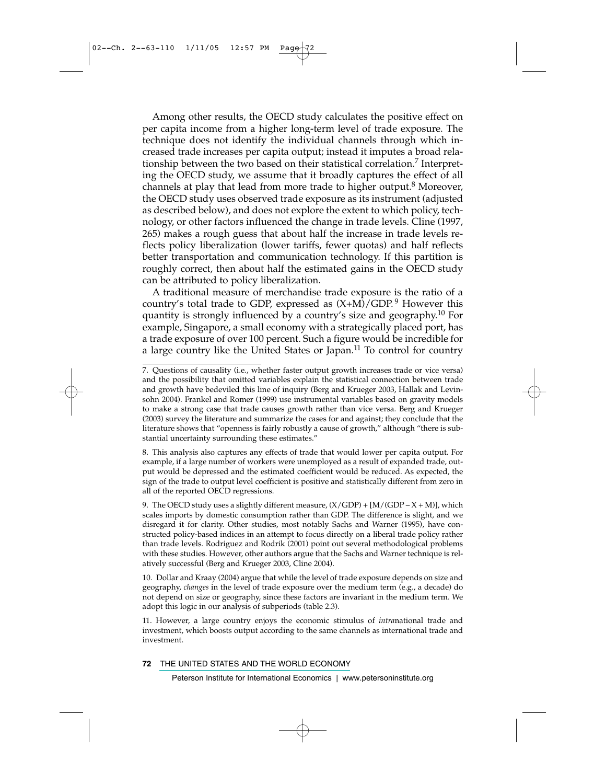Among other results, the OECD study calculates the positive effect on per capita income from a higher long-term level of trade exposure. The technique does not identify the individual channels through which increased trade increases per capita output; instead it imputes a broad relationship between the two based on their statistical correlation.<sup>7</sup> Interpreting the OECD study, we assume that it broadly captures the effect of all channels at play that lead from more trade to higher output. $8$  Moreover, the OECD study uses observed trade exposure as its instrument (adjusted as described below), and does not explore the extent to which policy, technology, or other factors influenced the change in trade levels. Cline (1997, 265) makes a rough guess that about half the increase in trade levels reflects policy liberalization (lower tariffs, fewer quotas) and half reflects better transportation and communication technology. If this partition is roughly correct, then about half the estimated gains in the OECD study can be attributed to policy liberalization.

A traditional measure of merchandise trade exposure is the ratio of a country's total trade to GDP, expressed as  $(X+M)/GDP<sup>9</sup>$  However this quantity is strongly influenced by a country's size and geography.10 For example, Singapore, a small economy with a strategically placed port, has a trade exposure of over 100 percent. Such a figure would be incredible for a large country like the United States or Japan.<sup>11</sup> To control for country

#### **72** [THE UNITED STATES AND THE WORLD ECONOMY](http://bookstore.petersoninstitute.org/book-store/3802.html)

<sup>7.</sup> Questions of causality (i.e., whether faster output growth increases trade or vice versa) and the possibility that omitted variables explain the statistical connection between trade and growth have bedeviled this line of inquiry (Berg and Krueger 2003, Hallak and Levinsohn 2004). Frankel and Romer (1999) use instrumental variables based on gravity models to make a strong case that trade causes growth rather than vice versa. Berg and Krueger (2003) survey the literature and summarize the cases for and against; they conclude that the literature shows that "openness is fairly robustly a cause of growth," although "there is substantial uncertainty surrounding these estimates."

<sup>8.</sup> This analysis also captures any effects of trade that would lower per capita output. For example, if a large number of workers were unemployed as a result of expanded trade, output would be depressed and the estimated coefficient would be reduced. As expected, the sign of the trade to output level coefficient is positive and statistically different from zero in all of the reported OECD regressions.

<sup>9.</sup> The OECD study uses a slightly different measure,  $(X/GDP) + [M/(GDP - X + M)]$ , which scales imports by domestic consumption rather than GDP. The difference is slight, and we disregard it for clarity. Other studies, most notably Sachs and Warner (1995), have constructed policy-based indices in an attempt to focus directly on a liberal trade policy rather than trade levels. Rodriguez and Rodrik (2001) point out several methodological problems with these studies. However, other authors argue that the Sachs and Warner technique is relatively successful (Berg and Krueger 2003, Cline 2004).

<sup>10.</sup> Dollar and Kraay (2004) argue that while the level of trade exposure depends on size and geography, *changes* in the level of trade exposure over the medium term (e.g., a decade) do not depend on size or geography, since these factors are invariant in the medium term. We adopt this logic in our analysis of subperiods (table 2.3).

<sup>11.</sup> However, a large country enjoys the economic stimulus of *intra*national trade and investment, which boosts output according to the same channels as international trade and investment.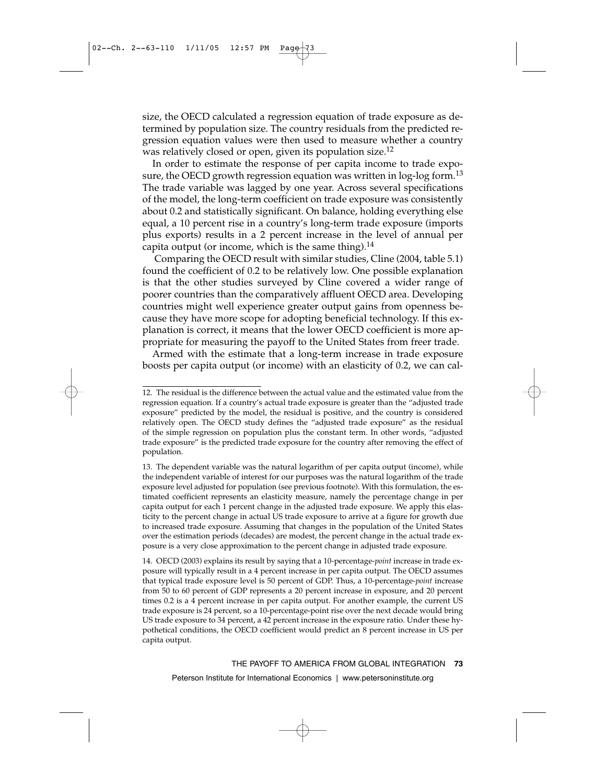size, the OECD calculated a regression equation of trade exposure as determined by population size. The country residuals from the predicted regression equation values were then used to measure whether a country was relatively closed or open, given its population size.<sup>12</sup>

In order to estimate the response of per capita income to trade exposure, the OECD growth regression equation was written in log-log form.<sup>13</sup> The trade variable was lagged by one year. Across several specifications of the model, the long-term coefficient on trade exposure was consistently about 0.2 and statistically significant. On balance, holding everything else equal, a 10 percent rise in a country's long-term trade exposure (imports plus exports) results in a 2 percent increase in the level of annual per capita output (or income, which is the same thing).<sup>14</sup>

Comparing the OECD result with similar studies, Cline (2004, table 5.1) found the coefficient of 0.2 to be relatively low. One possible explanation is that the other studies surveyed by Cline covered a wider range of poorer countries than the comparatively affluent OECD area. Developing countries might well experience greater output gains from openness because they have more scope for adopting beneficial technology. If this explanation is correct, it means that the lower OECD coefficient is more appropriate for measuring the payoff to the United States from freer trade.

Armed with the estimate that a long-term increase in trade exposure boosts per capita output (or income) with an elasticity of 0.2, we can cal-

<sup>12.</sup> The residual is the difference between the actual value and the estimated value from the regression equation. If a country's actual trade exposure is greater than the "adjusted trade exposure" predicted by the model, the residual is positive, and the country is considered relatively open. The OECD study defines the "adjusted trade exposure" as the residual of the simple regression on population plus the constant term. In other words, "adjusted trade exposure" is the predicted trade exposure for the country after removing the effect of population.

<sup>13.</sup> The dependent variable was the natural logarithm of per capita output (income), while the independent variable of interest for our purposes was the natural logarithm of the trade exposure level adjusted for population (see previous footnote). With this formulation, the estimated coefficient represents an elasticity measure, namely the percentage change in per capita output for each 1 percent change in the adjusted trade exposure. We apply this elasticity to the percent change in actual US trade exposure to arrive at a figure for growth due to increased trade exposure. Assuming that changes in the population of the United States over the estimation periods (decades) are modest, the percent change in the actual trade exposure is a very close approximation to the percent change in adjusted trade exposure.

<sup>14.</sup> OECD (2003) explains its result by saying that a 10-percentage-*point* increase in trade exposure will typically result in a 4 percent increase in per capita output. The OECD assumes that typical trade exposure level is 50 percent of GDP. Thus, a 10-percentage-*point* increase from 50 to 60 percent of GDP represents a 20 percent increase in exposure, and 20 percent times 0.2 is a 4 percent increase in per capita output. For another example, the current US trade exposure is 24 percent, so a 10-percentage-point rise over the next decade would bring US trade exposure to 34 percent, a 42 percent increase in the exposure ratio. Under these hypothetical conditions, the OECD coefficient would predict an 8 percent increase in US per capita output.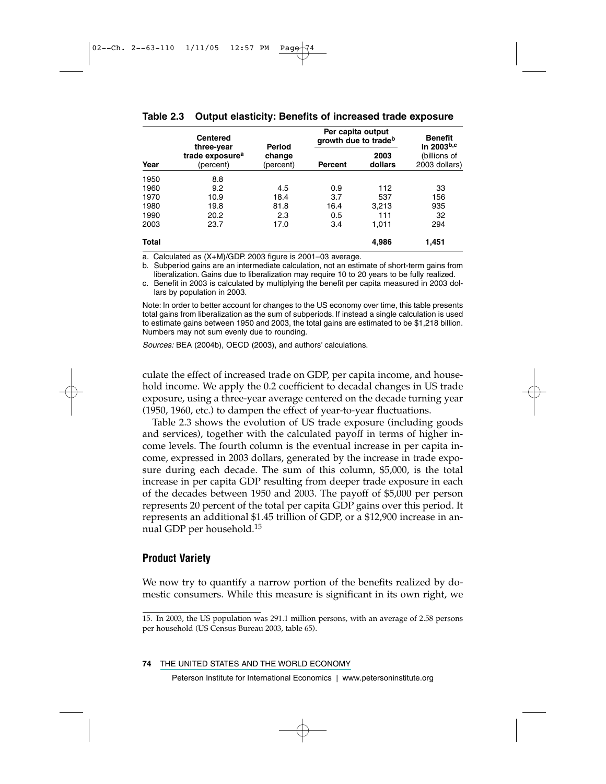| <b>Centered</b>                          | Period<br>change<br>(percent) | Per capita output | <b>Benefit</b><br>in 2003b,c                                                  |                                  |
|------------------------------------------|-------------------------------|-------------------|-------------------------------------------------------------------------------|----------------------------------|
| trade exposure <sup>a</sup><br>(percent) |                               | Percent           | 2003<br>dollars                                                               | (billions of<br>2003 dollars)    |
| 8.8                                      |                               |                   |                                                                               |                                  |
| 9.2                                      | 4.5                           | 0.9               | 112                                                                           | 33                               |
| 10.9                                     | 18.4                          | 3.7               | 537                                                                           | 156                              |
| 19.8                                     | 81.8                          | 16.4              | 3.213                                                                         | 935                              |
| 20.2                                     | 2.3                           | 0.5               | 111                                                                           | 32                               |
| 23.7                                     | 17.0                          | 3.4               | 1.011                                                                         | 294                              |
|                                          |                               |                   | 4,986                                                                         | 1,451                            |
|                                          | three-year                    |                   | $\sim$ Celevisted as $N \cdot \text{MN}$ CDD 0000 figures in 0004, 00 systems | growth due to trade <sup>b</sup> |

### **Table 2.3 Output elasticity: Benefits of increased trade exposure**

a. Calculated as (X+M)/GDP. 2003 figure is 2001–03 average.

b. Subperiod gains are an intermediate calculation, not an estimate of short-term gains from liberalization. Gains due to liberalization may require 10 to 20 years to be fully realized.

c. Benefit in 2003 is calculated by multiplying the benefit per capita measured in 2003 dollars by population in 2003.

Note: In order to better account for changes to the US economy over time, this table presents total gains from liberalization as the sum of subperiods. If instead a single calculation is used to estimate gains between 1950 and 2003, the total gains are estimated to be \$1,218 billion. Numbers may not sum evenly due to rounding.

*Sources:* BEA (2004b), OECD (2003), and authors' calculations.

culate the effect of increased trade on GDP, per capita income, and household income. We apply the 0.2 coefficient to decadal changes in US trade exposure, using a three-year average centered on the decade turning year (1950, 1960, etc.) to dampen the effect of year-to-year fluctuations.

Table 2.3 shows the evolution of US trade exposure (including goods and services), together with the calculated payoff in terms of higher income levels. The fourth column is the eventual increase in per capita income, expressed in 2003 dollars, generated by the increase in trade exposure during each decade. The sum of this column, \$5,000, is the total increase in per capita GDP resulting from deeper trade exposure in each of the decades between 1950 and 2003. The payoff of \$5,000 per person represents 20 percent of the total per capita GDP gains over this period. It represents an additional \$1.45 trillion of GDP, or a \$12,900 increase in annual GDP per household.<sup>15</sup>

### **Product Variety**

We now try to quantify a narrow portion of the benefits realized by domestic consumers. While this measure is significant in its own right, we

#### **74** [THE UNITED STATES AND THE WORLD ECONOMY](http://bookstore.petersoninstitute.org/book-store/3802.html)

<sup>15.</sup> In 2003, the US population was 291.1 million persons, with an average of 2.58 persons per household (US Census Bureau 2003, table 65).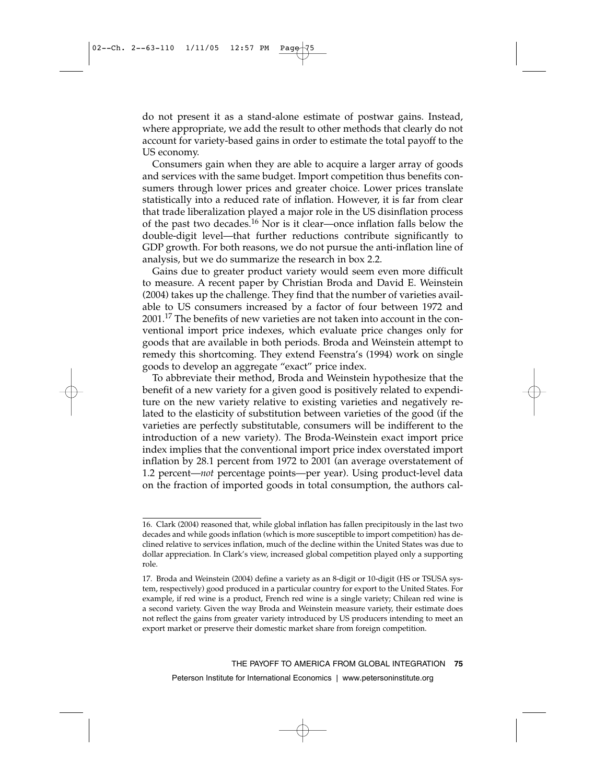do not present it as a stand-alone estimate of postwar gains. Instead, where appropriate, we add the result to other methods that clearly do not account for variety-based gains in order to estimate the total payoff to the US economy.

Consumers gain when they are able to acquire a larger array of goods and services with the same budget. Import competition thus benefits consumers through lower prices and greater choice. Lower prices translate statistically into a reduced rate of inflation. However, it is far from clear that trade liberalization played a major role in the US disinflation process of the past two decades.16 Nor is it clear—once inflation falls below the double-digit level—that further reductions contribute significantly to GDP growth. For both reasons, we do not pursue the anti-inflation line of analysis, but we do summarize the research in box 2.2.

Gains due to greater product variety would seem even more difficult to measure. A recent paper by Christian Broda and David E. Weinstein (2004) takes up the challenge. They find that the number of varieties available to US consumers increased by a factor of four between 1972 and 2001.17 The benefits of new varieties are not taken into account in the conventional import price indexes, which evaluate price changes only for goods that are available in both periods. Broda and Weinstein attempt to remedy this shortcoming. They extend Feenstra's (1994) work on single goods to develop an aggregate "exact" price index.

To abbreviate their method, Broda and Weinstein hypothesize that the benefit of a new variety for a given good is positively related to expenditure on the new variety relative to existing varieties and negatively related to the elasticity of substitution between varieties of the good (if the varieties are perfectly substitutable, consumers will be indifferent to the introduction of a new variety). The Broda-Weinstein exact import price index implies that the conventional import price index overstated import inflation by 28.1 percent from 1972 to 2001 (an average overstatement of 1.2 percent—*not* percentage points—per year). Using product-level data on the fraction of imported goods in total consumption, the authors cal-

<sup>16.</sup> Clark (2004) reasoned that, while global inflation has fallen precipitously in the last two decades and while goods inflation (which is more susceptible to import competition) has declined relative to services inflation, much of the decline within the United States was due to dollar appreciation. In Clark's view, increased global competition played only a supporting role.

<sup>17.</sup> Broda and Weinstein (2004) define a variety as an 8-digit or 10-digit (HS or TSUSA system, respectively) good produced in a particular country for export to the United States. For example, if red wine is a product, French red wine is a single variety; Chilean red wine is a second variety. Given the way Broda and Weinstein measure variety, their estimate does not reflect the gains from greater variety introduced by US producers intending to meet an export market or preserve their domestic market share from foreign competition.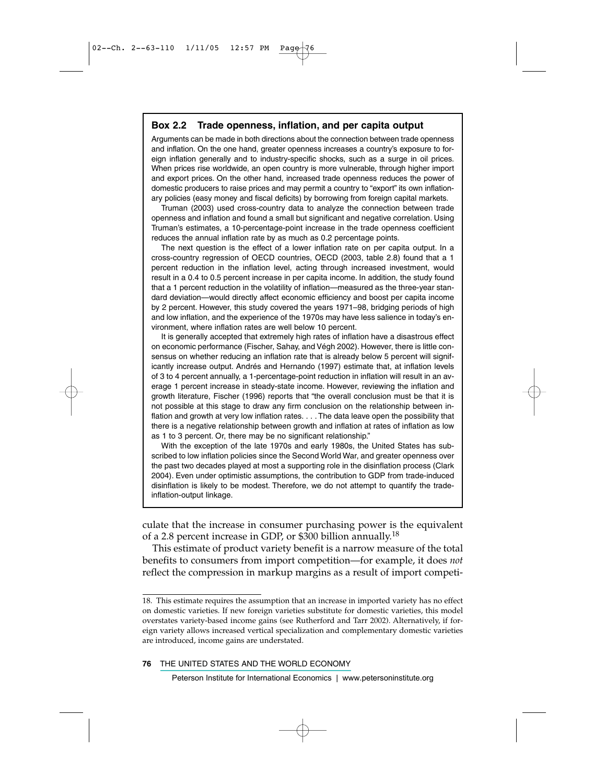### **Box 2.2 Trade openness, inflation, and per capita output**

Arguments can be made in both directions about the connection between trade openness and inflation. On the one hand, greater openness increases a country's exposure to foreign inflation generally and to industry-specific shocks, such as a surge in oil prices. When prices rise worldwide, an open country is more vulnerable, through higher import and export prices. On the other hand, increased trade openness reduces the power of domestic producers to raise prices and may permit a country to "export" its own inflationary policies (easy money and fiscal deficits) by borrowing from foreign capital markets.

Truman (2003) used cross-country data to analyze the connection between trade openness and inflation and found a small but significant and negative correlation. Using Truman's estimates, a 10-percentage-point increase in the trade openness coefficient reduces the annual inflation rate by as much as 0.2 percentage points.

The next question is the effect of a lower inflation rate on per capita output. In a cross-country regression of OECD countries, OECD (2003, table 2.8) found that a 1 percent reduction in the inflation level, acting through increased investment, would result in a 0.4 to 0.5 percent increase in per capita income. In addition, the study found that a 1 percent reduction in the volatility of inflation—measured as the three-year standard deviation—would directly affect economic efficiency and boost per capita income by 2 percent. However, this study covered the years 1971–98, bridging periods of high and low inflation, and the experience of the 1970s may have less salience in today's environment, where inflation rates are well below 10 percent.

It is generally accepted that extremely high rates of inflation have a disastrous effect on economic performance (Fischer, Sahay, and Végh 2002). However, there is little consensus on whether reducing an inflation rate that is already below 5 percent will significantly increase output. Andrés and Hernando (1997) estimate that, at inflation levels of 3 to 4 percent annually, a 1-percentage-point reduction in inflation will result in an average 1 percent increase in steady-state income. However, reviewing the inflation and growth literature, Fischer (1996) reports that "the overall conclusion must be that it is not possible at this stage to draw any firm conclusion on the relationship between inflation and growth at very low inflation rates. . . . The data leave open the possibility that there is a negative relationship between growth and inflation at rates of inflation as low as 1 to 3 percent. Or, there may be no significant relationship."

With the exception of the late 1970s and early 1980s, the United States has subscribed to low inflation policies since the Second World War, and greater openness over the past two decades played at most a supporting role in the disinflation process (Clark 2004). Even under optimistic assumptions, the contribution to GDP from trade-induced disinflation is likely to be modest. Therefore, we do not attempt to quantify the tradeinflation-output linkage.

culate that the increase in consumer purchasing power is the equivalent of a 2.8 percent increase in GDP, or \$300 billion annually.<sup>18</sup>

This estimate of product variety benefit is a narrow measure of the total benefits to consumers from import competition—for example, it does *not* reflect the compression in markup margins as a result of import competi-

#### **76** [THE UNITED STATES AND THE WORLD ECONOMY](http://bookstore.petersoninstitute.org/book-store/3802.html)

<sup>18.</sup> This estimate requires the assumption that an increase in imported variety has no effect on domestic varieties. If new foreign varieties substitute for domestic varieties, this model overstates variety-based income gains (see Rutherford and Tarr 2002). Alternatively, if foreign variety allows increased vertical specialization and complementary domestic varieties are introduced, income gains are understated.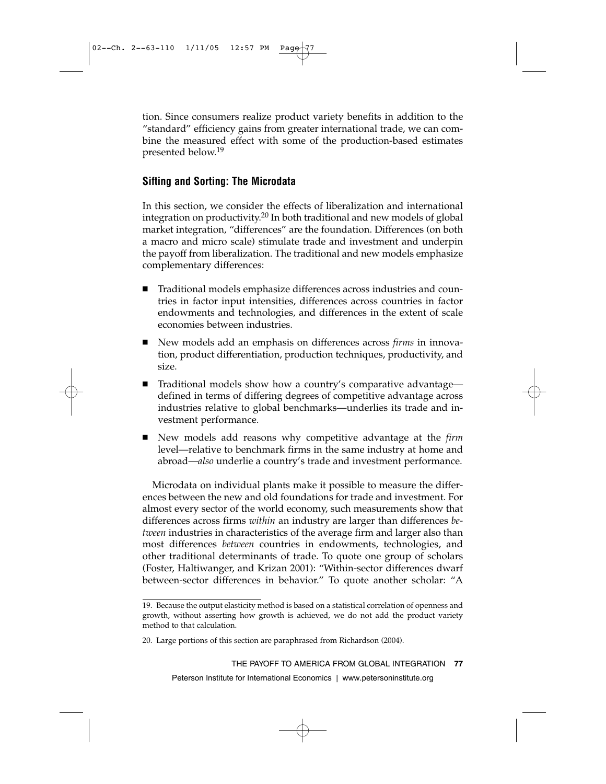tion. Since consumers realize product variety benefits in addition to the "standard" efficiency gains from greater international trade, we can combine the measured effect with some of the production-based estimates presented below.<sup>19</sup>

# **Sifting and Sorting: The Microdata**

In this section, we consider the effects of liberalization and international integration on productivity.<sup>20</sup> In both traditional and new models of global market integration, "differences" are the foundation. Differences (on both a macro and micro scale) stimulate trade and investment and underpin the payoff from liberalization. The traditional and new models emphasize complementary differences:

- - Traditional models emphasize differences across industries and countries in factor input intensities, differences across countries in factor endowments and technologies, and differences in the extent of scale economies between industries.
- New models add an emphasis on differences across *firms* in innovation, product differentiation, production techniques, productivity, and size.
- Traditional models show how a country's comparative advantage defined in terms of differing degrees of competitive advantage across industries relative to global benchmarks—underlies its trade and investment performance.
- New models add reasons why competitive advantage at the *firm* level—relative to benchmark firms in the same industry at home and abroad—*also* underlie a country's trade and investment performance.

Microdata on individual plants make it possible to measure the differences between the new and old foundations for trade and investment. For almost every sector of the world economy, such measurements show that differences across firms *within* an industry are larger than differences *between* industries in characteristics of the average firm and larger also than most differences *between* countries in endowments, technologies, and other traditional determinants of trade. To quote one group of scholars (Foster, Haltiwanger, and Krizan 2001): "Within-sector differences dwarf between-sector differences in behavior." To quote another scholar: "A

<sup>19.</sup> Because the output elasticity method is based on a statistical correlation of openness and growth, without asserting how growth is achieved, we do not add the product variety method to that calculation.

<sup>20.</sup> Large portions of this section are paraphrased from Richardson (2004).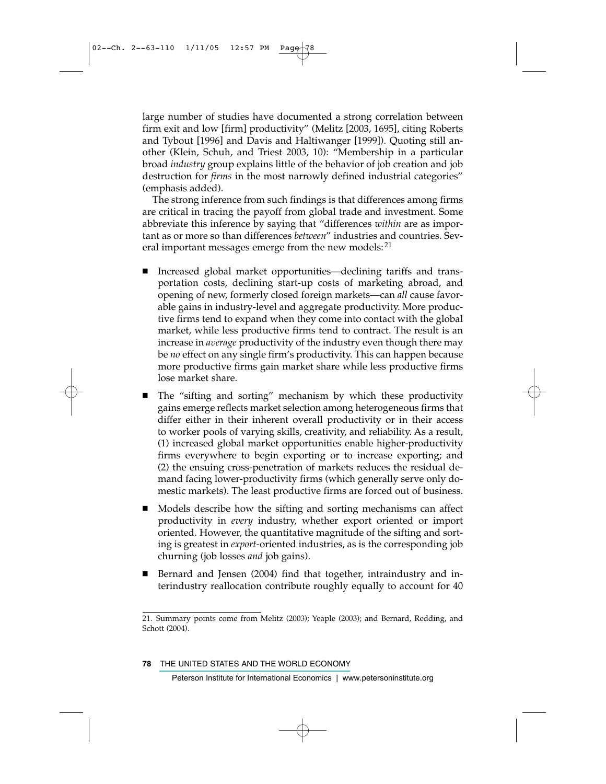large number of studies have documented a strong correlation between firm exit and low [firm] productivity" (Melitz [2003, 1695], citing Roberts and Tybout [1996] and Davis and Haltiwanger [1999]). Quoting still another (Klein, Schuh, and Triest 2003, 10): "Membership in a particular broad *industry* group explains little of the behavior of job creation and job destruction for *firms* in the most narrowly defined industrial categories" (emphasis added).

The strong inference from such findings is that differences among firms are critical in tracing the payoff from global trade and investment. Some abbreviate this inference by saying that "differences *within* are as important as or more so than differences *between*" industries and countries. Several important messages emerge from the new models:<sup>21</sup>

- Increased global market opportunities—declining tariffs and transportation costs, declining start-up costs of marketing abroad, and opening of new, formerly closed foreign markets—can *all* cause favorable gains in industry-level and aggregate productivity. More productive firms tend to expand when they come into contact with the global market, while less productive firms tend to contract. The result is an increase in *average* productivity of the industry even though there may be *no* effect on any single firm's productivity. This can happen because more productive firms gain market share while less productive firms lose market share.
- The "sifting and sorting" mechanism by which these productivity gains emerge reflects market selection among heterogeneous firms that differ either in their inherent overall productivity or in their access to worker pools of varying skills, creativity, and reliability. As a result, (1) increased global market opportunities enable higher-productivity firms everywhere to begin exporting or to increase exporting; and (2) the ensuing cross-penetration of markets reduces the residual demand facing lower-productivity firms (which generally serve only domestic markets). The least productive firms are forced out of business.
- Models describe how the sifting and sorting mechanisms can affect productivity in *every* industry, whether export oriented or import oriented. However, the quantitative magnitude of the sifting and sorting is greatest in *export*-oriented industries, as is the corresponding job churning (job losses *and* job gains).
- Bernard and Jensen (2004) find that together, intraindustry and interindustry reallocation contribute roughly equally to account for 40

<sup>21.</sup> Summary points come from Melitz (2003); Yeaple (2003); and Bernard, Redding, and Schott (2004).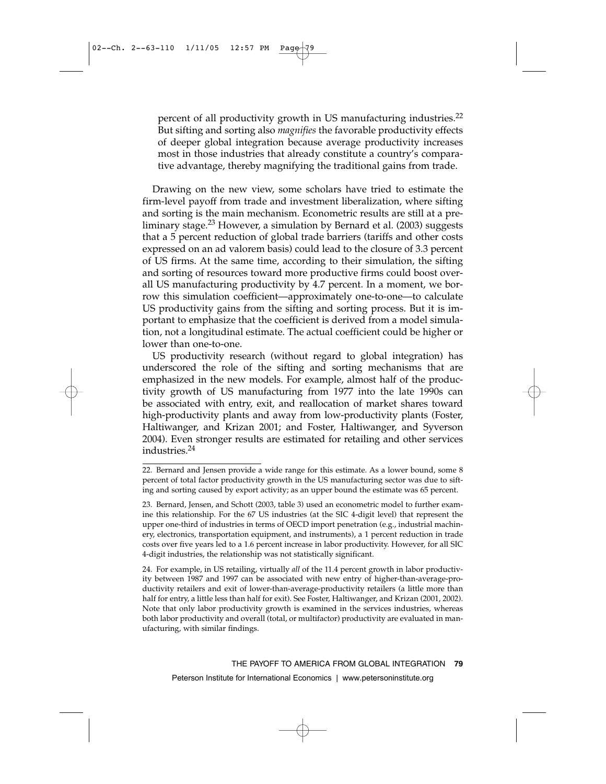percent of all productivity growth in US manufacturing industries.<sup>22</sup> But sifting and sorting also *magnifies* the favorable productivity effects of deeper global integration because average productivity increases most in those industries that already constitute a country's comparative advantage, thereby magnifying the traditional gains from trade.

Drawing on the new view, some scholars have tried to estimate the firm-level payoff from trade and investment liberalization, where sifting and sorting is the main mechanism. Econometric results are still at a preliminary stage.23 However, a simulation by Bernard et al. (2003) suggests that a 5 percent reduction of global trade barriers (tariffs and other costs expressed on an ad valorem basis) could lead to the closure of 3.3 percent of US firms. At the same time, according to their simulation, the sifting and sorting of resources toward more productive firms could boost overall US manufacturing productivity by 4.7 percent. In a moment, we borrow this simulation coefficient—approximately one-to-one—to calculate US productivity gains from the sifting and sorting process. But it is important to emphasize that the coefficient is derived from a model simulation, not a longitudinal estimate. The actual coefficient could be higher or lower than one-to-one.

US productivity research (without regard to global integration) has underscored the role of the sifting and sorting mechanisms that are emphasized in the new models. For example, almost half of the productivity growth of US manufacturing from 1977 into the late 1990s can be associated with entry, exit, and reallocation of market shares toward high-productivity plants and away from low-productivity plants (Foster, Haltiwanger, and Krizan 2001; and Foster, Haltiwanger, and Syverson 2004). Even stronger results are estimated for retailing and other services industries.24

24. For example, in US retailing, virtually *all* of the 11.4 percent growth in labor productivity between 1987 and 1997 can be associated with new entry of higher-than-average-productivity retailers and exit of lower-than-average-productivity retailers (a little more than half for entry, a little less than half for exit). See Foster, Haltiwanger, and Krizan (2001, 2002). Note that only labor productivity growth is examined in the services industries, whereas both labor productivity and overall (total, or multifactor) productivity are evaluated in manufacturing, with similar findings.

<sup>22.</sup> Bernard and Jensen provide a wide range for this estimate. As a lower bound, some 8 percent of total factor productivity growth in the US manufacturing sector was due to sifting and sorting caused by export activity; as an upper bound the estimate was 65 percent.

<sup>23.</sup> Bernard, Jensen, and Schott (2003, table 3) used an econometric model to further examine this relationship. For the 67 US industries (at the SIC 4-digit level) that represent the upper one-third of industries in terms of OECD import penetration (e.g., industrial machinery, electronics, transportation equipment, and instruments), a 1 percent reduction in trade costs over five years led to a 1.6 percent increase in labor productivity. However, for all SIC 4-digit industries, the relationship was not statistically significant.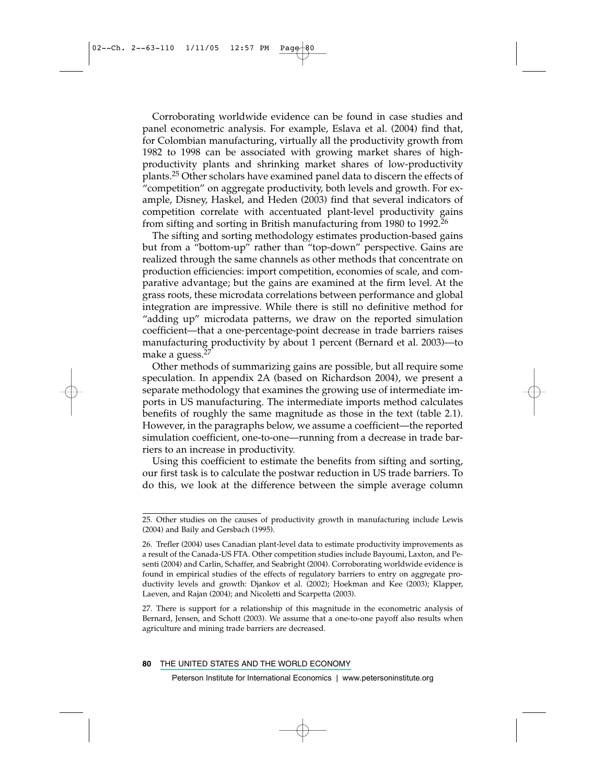Corroborating worldwide evidence can be found in case studies and panel econometric analysis. For example, Eslava et al. (2004) find that, for Colombian manufacturing, virtually all the productivity growth from 1982 to 1998 can be associated with growing market shares of highproductivity plants and shrinking market shares of low-productivity plants.25 Other scholars have examined panel data to discern the effects of "competition" on aggregate productivity, both levels and growth. For example, Disney, Haskel, and Heden (2003) find that several indicators of competition correlate with accentuated plant-level productivity gains from sifting and sorting in British manufacturing from 1980 to 1992.<sup>26</sup>

The sifting and sorting methodology estimates production-based gains but from a "bottom-up" rather than "top-down" perspective. Gains are realized through the same channels as other methods that concentrate on production efficiencies: import competition, economies of scale, and comparative advantage; but the gains are examined at the firm level. At the grass roots, these microdata correlations between performance and global integration are impressive. While there is still no definitive method for "adding up" microdata patterns, we draw on the reported simulation coefficient—that a one-percentage-point decrease in trade barriers raises manufacturing productivity by about 1 percent (Bernard et al. 2003)—to make a guess.<sup>2</sup>

Other methods of summarizing gains are possible, but all require some speculation. In appendix 2A (based on Richardson 2004), we present a separate methodology that examines the growing use of intermediate imports in US manufacturing. The intermediate imports method calculates benefits of roughly the same magnitude as those in the text (table 2.1). However, in the paragraphs below, we assume a coefficient—the reported simulation coefficient, one-to-one—running from a decrease in trade barriers to an increase in productivity.

Using this coefficient to estimate the benefits from sifting and sorting, our first task is to calculate the postwar reduction in US trade barriers. To do this, we look at the difference between the simple average column

<sup>25.</sup> Other studies on the causes of productivity growth in manufacturing include Lewis (2004) and Baily and Gersbach (1995).

<sup>26.</sup> Trefler (2004) uses Canadian plant-level data to estimate productivity improvements as a result of the Canada-US FTA. Other competition studies include Bayoumi, Laxton, and Pesenti (2004) and Carlin, Schaffer, and Seabright (2004). Corroborating worldwide evidence is found in empirical studies of the effects of regulatory barriers to entry on aggregate productivity levels and growth: Djankov et al. (2002); Hoekman and Kee (2003); Klapper, Laeven, and Rajan (2004); and Nicoletti and Scarpetta (2003).

<sup>27.</sup> There is support for a relationship of this magnitude in the econometric analysis of Bernard, Jensen, and Schott (2003). We assume that a one-to-one payoff also results when agriculture and mining trade barriers are decreased.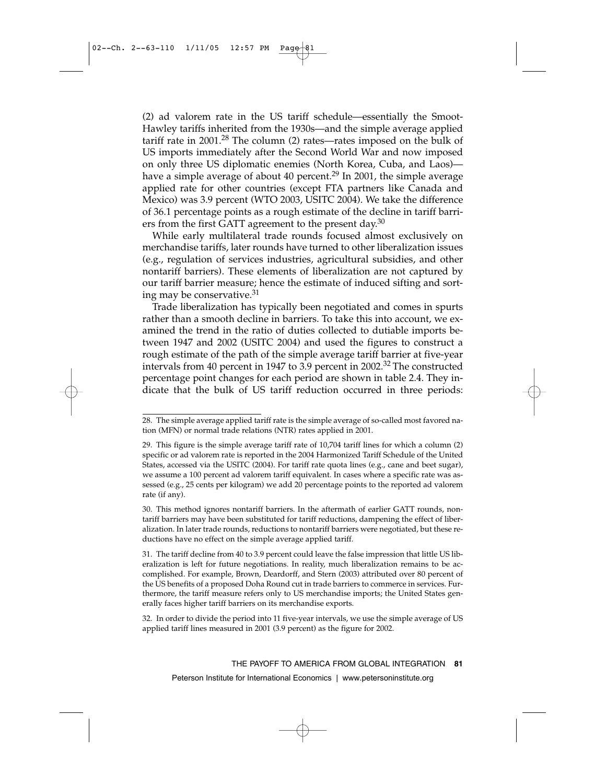(2) ad valorem rate in the US tariff schedule—essentially the Smoot-Hawley tariffs inherited from the 1930s—and the simple average applied tariff rate in 2001.<sup>28</sup> The column (2) rates—rates imposed on the bulk of US imports immediately after the Second World War and now imposed on only three US diplomatic enemies (North Korea, Cuba, and Laos) have a simple average of about 40 percent.<sup>29</sup> In 2001, the simple average applied rate for other countries (except FTA partners like Canada and Mexico) was 3.9 percent (WTO 2003, USITC 2004). We take the difference of 36.1 percentage points as a rough estimate of the decline in tariff barriers from the first GATT agreement to the present day.<sup>30</sup>

While early multilateral trade rounds focused almost exclusively on merchandise tariffs, later rounds have turned to other liberalization issues (e.g., regulation of services industries, agricultural subsidies, and other nontariff barriers). These elements of liberalization are not captured by our tariff barrier measure; hence the estimate of induced sifting and sorting may be conservative.31

Trade liberalization has typically been negotiated and comes in spurts rather than a smooth decline in barriers. To take this into account, we examined the trend in the ratio of duties collected to dutiable imports between 1947 and 2002 (USITC 2004) and used the figures to construct a rough estimate of the path of the simple average tariff barrier at five-year intervals from 40 percent in 1947 to 3.9 percent in 2002.32 The constructed percentage point changes for each period are shown in table 2.4. They indicate that the bulk of US tariff reduction occurred in three periods:

<sup>28.</sup> The simple average applied tariff rate is the simple average of so-called most favored nation (MFN) or normal trade relations (NTR) rates applied in 2001.

<sup>29.</sup> This figure is the simple average tariff rate of 10,704 tariff lines for which a column (2) specific or ad valorem rate is reported in the 2004 Harmonized Tariff Schedule of the United States, accessed via the USITC (2004). For tariff rate quota lines (e.g., cane and beet sugar), we assume a 100 percent ad valorem tariff equivalent. In cases where a specific rate was assessed (e.g., 25 cents per kilogram) we add 20 percentage points to the reported ad valorem rate (if any).

<sup>30.</sup> This method ignores nontariff barriers. In the aftermath of earlier GATT rounds, nontariff barriers may have been substituted for tariff reductions, dampening the effect of liberalization. In later trade rounds, reductions to nontariff barriers were negotiated, but these reductions have no effect on the simple average applied tariff.

<sup>31.</sup> The tariff decline from 40 to 3.9 percent could leave the false impression that little US liberalization is left for future negotiations. In reality, much liberalization remains to be accomplished. For example, Brown, Deardorff, and Stern (2003) attributed over 80 percent of the US benefits of a proposed Doha Round cut in trade barriers to commerce in services. Furthermore, the tariff measure refers only to US merchandise imports; the United States generally faces higher tariff barriers on its merchandise exports.

<sup>32.</sup> In order to divide the period into 11 five-year intervals, we use the simple average of US applied tariff lines measured in 2001 (3.9 percent) as the figure for 2002.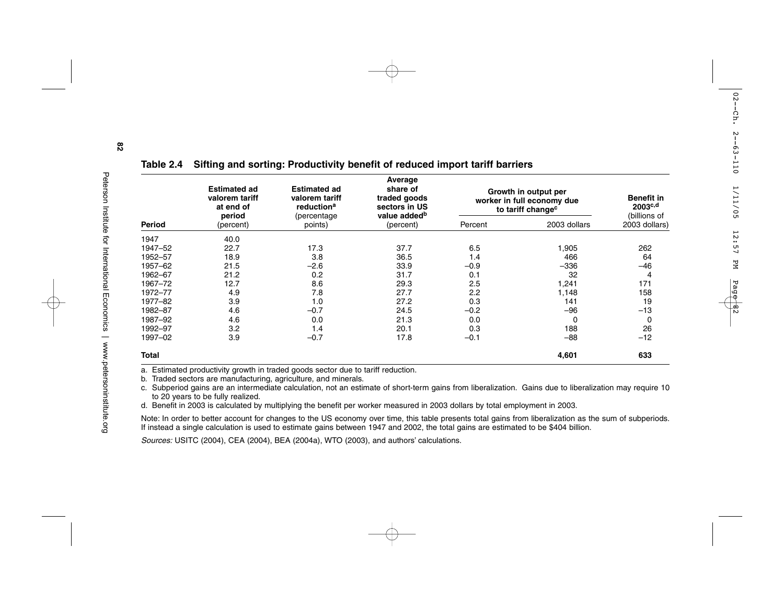| <b>Estimated ad</b><br>valorem tariff<br>at end of<br>period |           | <b>Estimated ad</b><br>valorem tariff<br>reduction <sup>a</sup><br>(percentage) | Average<br>share of<br>traded goods<br>sectors in US<br>value added <sup>b</sup> |         | Growth in output per<br>worker in full economy due<br>to tariff change <sup>c</sup> | <b>Benefit in</b><br>2003 <sub>c,d</sub><br>(billions of |
|--------------------------------------------------------------|-----------|---------------------------------------------------------------------------------|----------------------------------------------------------------------------------|---------|-------------------------------------------------------------------------------------|----------------------------------------------------------|
| Period                                                       | (percent) | points)                                                                         | (percent)                                                                        | Percent | 2003 dollars                                                                        | 2003 dollars)                                            |
| 1947                                                         | 40.0      |                                                                                 |                                                                                  |         |                                                                                     |                                                          |
| 1947-52                                                      | 22.7      | 17.3                                                                            | 37.7                                                                             | 6.5     | 1,905                                                                               | 262                                                      |
| 1952-57                                                      | 18.9      | 3.8                                                                             | 36.5                                                                             | 1.4     | 466                                                                                 | 64                                                       |
| 1957-62                                                      | 21.5      | $-2.6$                                                                          | 33.9                                                                             | $-0.9$  | $-336$                                                                              | -46                                                      |
| 1962-67                                                      | 21.2      | 0.2                                                                             | 31.7                                                                             | 0.1     | 32                                                                                  | 4                                                        |
| 1967-72                                                      | 12.7      | 8.6                                                                             | 29.3                                                                             | 2.5     | 1,241                                                                               | 171                                                      |
| 1972-77                                                      | 4.9       | 7.8                                                                             | 27.7                                                                             | $2.2\,$ | 1,148                                                                               | 158                                                      |
| 1977-82                                                      | 3.9       | 1.0                                                                             | 27.2                                                                             | 0.3     | 141                                                                                 | 19                                                       |
| 1982-87                                                      | 4.6       | $-0.7$                                                                          | 24.5                                                                             | $-0.2$  | $-96$                                                                               | $-13$                                                    |
| 1987-92                                                      | 4.6       | 0.0                                                                             | 21.3                                                                             | 0.0     | 0                                                                                   | 0                                                        |
| 1992-97                                                      | 3.2       | 1.4                                                                             | 20.1                                                                             | 0.3     | 188                                                                                 | 26                                                       |
| 1997–02                                                      | 3.9       | $-0.7$                                                                          | 17.8                                                                             | $-0.1$  | $-88$                                                                               | $-12$                                                    |
| <b>Total</b>                                                 |           |                                                                                 |                                                                                  |         | 4,601                                                                               | 633                                                      |

### **Table 2.4 Sifting and sorting: Productivity benefit of reduced import tariff barriers**

a. Estimated productivity growth in traded goods sector due to tariff reduction.

b. Traded sectors are manufacturing, agriculture, and minerals.

c. Subperiod gains are an intermediate calculation, not an estimate of short-term gains from liberalization. Gains due to liberalization may require 10 to 20 years to be fully realized.

d. Benefit in 2003 is calculated by multiplying the benefit per worker measured in 2003 dollars by total employment in 2003.

Note: In order to better account for changes to the US economy over time, this table presents total gains from liberalization as the sum of subperiods. If instead a single calculation is used to estimate gains between 1947 and 2002, the total gains are estimated to be \$404 billion.

*Sources:* USITC (2004), CEA (2004), BEA (2004a), WTO (2003), and authors' calculations.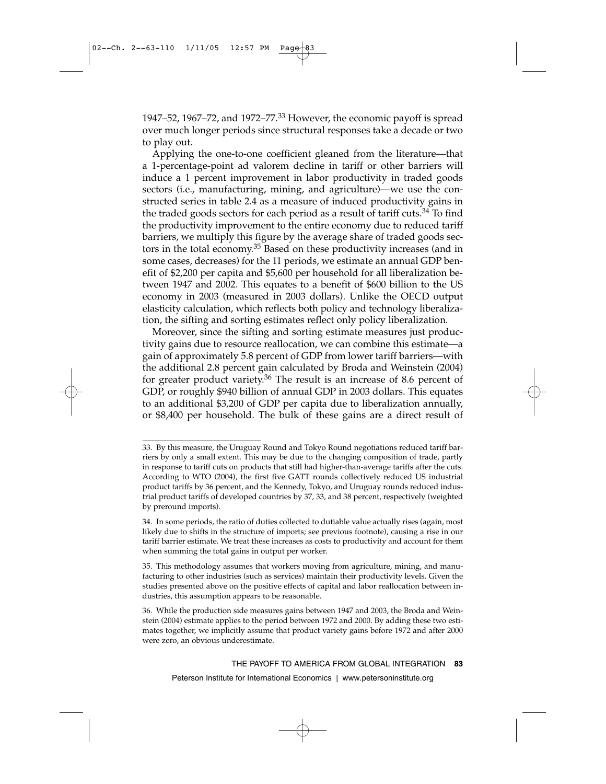1947–52, 1967–72, and 1972–77.33 However, the economic payoff is spread over much longer periods since structural responses take a decade or two to play out.

Applying the one-to-one coefficient gleaned from the literature—that a 1-percentage-point ad valorem decline in tariff or other barriers will induce a 1 percent improvement in labor productivity in traded goods sectors (i.e., manufacturing, mining, and agriculture)—we use the constructed series in table 2.4 as a measure of induced productivity gains in the traded goods sectors for each period as a result of tariff cuts.<sup>34</sup> To find the productivity improvement to the entire economy due to reduced tariff barriers, we multiply this figure by the average share of traded goods sectors in the total economy.<sup>35</sup> Based on these productivity increases (and in some cases, decreases) for the 11 periods, we estimate an annual GDP benefit of \$2,200 per capita and \$5,600 per household for all liberalization between 1947 and 2002. This equates to a benefit of \$600 billion to the US economy in 2003 (measured in 2003 dollars). Unlike the OECD output elasticity calculation, which reflects both policy and technology liberalization, the sifting and sorting estimates reflect only policy liberalization.

Moreover, since the sifting and sorting estimate measures just productivity gains due to resource reallocation, we can combine this estimate—a gain of approximately 5.8 percent of GDP from lower tariff barriers—with the additional 2.8 percent gain calculated by Broda and Weinstein (2004) for greater product variety.<sup>36</sup> The result is an increase of 8.6 percent of GDP, or roughly \$940 billion of annual GDP in 2003 dollars. This equates to an additional \$3,200 of GDP per capita due to liberalization annually, or \$8,400 per household. The bulk of these gains are a direct result of

<sup>33.</sup> By this measure, the Uruguay Round and Tokyo Round negotiations reduced tariff barriers by only a small extent. This may be due to the changing composition of trade, partly in response to tariff cuts on products that still had higher-than-average tariffs after the cuts. According to WTO (2004), the first five GATT rounds collectively reduced US industrial product tariffs by 36 percent, and the Kennedy, Tokyo, and Uruguay rounds reduced industrial product tariffs of developed countries by 37, 33, and 38 percent, respectively (weighted by preround imports).

<sup>34.</sup> In some periods, the ratio of duties collected to dutiable value actually rises (again, most likely due to shifts in the structure of imports; see previous footnote), causing a rise in our tariff barrier estimate. We treat these increases as costs to productivity and account for them when summing the total gains in output per worker.

<sup>35.</sup> This methodology assumes that workers moving from agriculture, mining, and manufacturing to other industries (such as services) maintain their productivity levels. Given the studies presented above on the positive effects of capital and labor reallocation between industries, this assumption appears to be reasonable.

<sup>36.</sup> While the production side measures gains between 1947 and 2003, the Broda and Weinstein (2004) estimate applies to the period between 1972 and 2000. By adding these two estimates together, we implicitly assume that product variety gains before 1972 and after 2000 were zero, an obvious underestimate.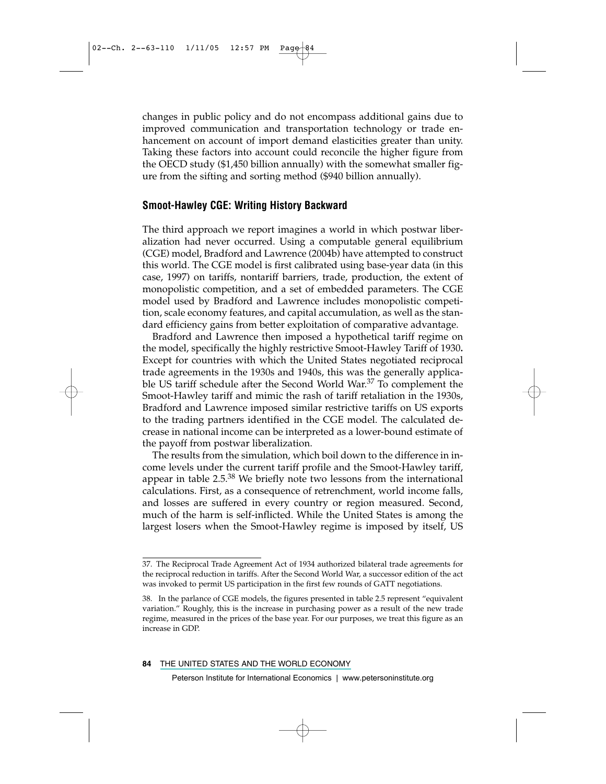changes in public policy and do not encompass additional gains due to improved communication and transportation technology or trade enhancement on account of import demand elasticities greater than unity. Taking these factors into account could reconcile the higher figure from the OECD study (\$1,450 billion annually) with the somewhat smaller figure from the sifting and sorting method (\$940 billion annually).

### **Smoot-Hawley CGE: Writing History Backward**

The third approach we report imagines a world in which postwar liberalization had never occurred. Using a computable general equilibrium (CGE) model, Bradford and Lawrence (2004b) have attempted to construct this world. The CGE model is first calibrated using base-year data (in this case, 1997) on tariffs, nontariff barriers, trade, production, the extent of monopolistic competition, and a set of embedded parameters. The CGE model used by Bradford and Lawrence includes monopolistic competition, scale economy features, and capital accumulation, as well as the standard efficiency gains from better exploitation of comparative advantage.

Bradford and Lawrence then imposed a hypothetical tariff regime on the model, specifically the highly restrictive Smoot-Hawley Tariff of 1930**.** Except for countries with which the United States negotiated reciprocal trade agreements in the 1930s and 1940s, this was the generally applicable US tariff schedule after the Second World War.<sup>37</sup> To complement the Smoot-Hawley tariff and mimic the rash of tariff retaliation in the 1930s, Bradford and Lawrence imposed similar restrictive tariffs on US exports to the trading partners identified in the CGE model. The calculated decrease in national income can be interpreted as a lower-bound estimate of the payoff from postwar liberalization.

The results from the simulation, which boil down to the difference in income levels under the current tariff profile and the Smoot-Hawley tariff, appear in table 2.5.38 We briefly note two lessons from the international calculations. First, as a consequence of retrenchment, world income falls, and losses are suffered in every country or region measured. Second, much of the harm is self-inflicted. While the United States is among the largest losers when the Smoot-Hawley regime is imposed by itself, US

#### **84** [THE UNITED STATES AND THE WORLD ECONOMY](http://bookstore.petersoninstitute.org/book-store/3802.html)

<sup>37.</sup> The Reciprocal Trade Agreement Act of 1934 authorized bilateral trade agreements for the reciprocal reduction in tariffs. After the Second World War, a successor edition of the act was invoked to permit US participation in the first few rounds of GATT negotiations.

<sup>38.</sup> In the parlance of CGE models, the figures presented in table 2.5 represent "equivalent variation." Roughly, this is the increase in purchasing power as a result of the new trade regime, measured in the prices of the base year. For our purposes, we treat this figure as an increase in GDP.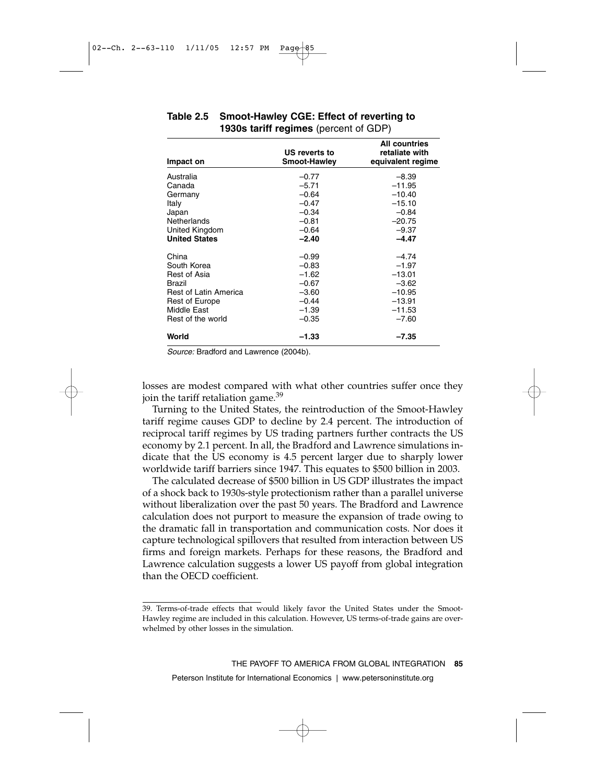| Impact on             | US reverts to<br>Smoot-Hawley | All countries<br>retaliate with<br>equivalent regime |
|-----------------------|-------------------------------|------------------------------------------------------|
| Australia             | $-0.77$                       | -8.39                                                |
| Canada                | $-5.71$                       | $-11.95$                                             |
| Germany               | $-0.64$                       | $-10.40$                                             |
| Italy                 | $-0.47$                       | $-15.10$                                             |
| Japan                 | $-0.34$                       | $-0.84$                                              |
| Netherlands           | $-0.81$                       | $-20.75$                                             |
| United Kingdom        | $-0.64$                       | $-9.37$                                              |
| <b>United States</b>  | $-2.40$                       | -4.47                                                |
| China                 | $-0.99$                       | $-4.74$                                              |
| South Korea           | $-0.83$                       | $-1.97$                                              |
| Rest of Asia          | $-1.62$                       | $-13.01$                                             |
| Brazil                | $-0.67$                       | $-3.62$                                              |
| Rest of Latin America | $-3.60$                       | $-10.95$                                             |
| Rest of Europe        | $-0.44$                       | $-13.91$                                             |
| Middle East           | $-1.39$                       | $-11.53$                                             |
| Rest of the world     | $-0.35$                       | $-7.60$                                              |
| World                 | $-1.33$                       | $-7.35$                                              |

### **Table 2.5 Smoot-Hawley CGE: Effect of reverting to 1930s tariff regimes** (percent of GDP)

*Source:* Bradford and Lawrence (2004b).

losses are modest compared with what other countries suffer once they join the tariff retaliation game.<sup>39</sup>

Turning to the United States, the reintroduction of the Smoot-Hawley tariff regime causes GDP to decline by 2.4 percent. The introduction of reciprocal tariff regimes by US trading partners further contracts the US economy by 2.1 percent. In all, the Bradford and Lawrence simulations indicate that the US economy is 4.5 percent larger due to sharply lower worldwide tariff barriers since 1947. This equates to \$500 billion in 2003.

The calculated decrease of \$500 billion in US GDP illustrates the impact of a shock back to 1930s-style protectionism rather than a parallel universe without liberalization over the past 50 years. The Bradford and Lawrence calculation does not purport to measure the expansion of trade owing to the dramatic fall in transportation and communication costs. Nor does it capture technological spillovers that resulted from interaction between US firms and foreign markets. Perhaps for these reasons, the Bradford and Lawrence calculation suggests a lower US payoff from global integration than the OECD coefficient.

<sup>39.</sup> Terms-of-trade effects that would likely favor the United States under the Smoot-Hawley regime are included in this calculation. However, US terms-of-trade gains are overwhelmed by other losses in the simulation.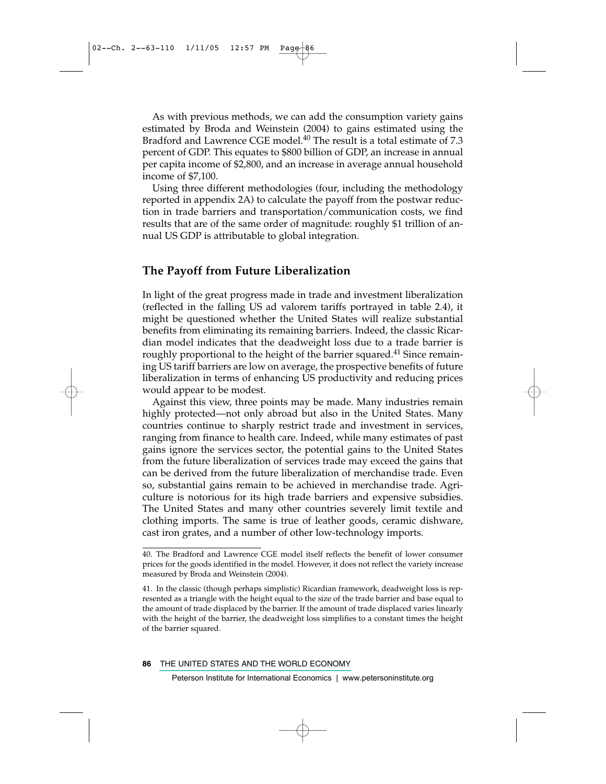As with previous methods, we can add the consumption variety gains estimated by Broda and Weinstein (2004) to gains estimated using the Bradford and Lawrence CGE model.<sup>40</sup> The result is a total estimate of 7.3 percent of GDP. This equates to \$800 billion of GDP, an increase in annual per capita income of \$2,800, and an increase in average annual household income of \$7,100.

Using three different methodologies (four, including the methodology reported in appendix 2A) to calculate the payoff from the postwar reduction in trade barriers and transportation/communication costs, we find results that are of the same order of magnitude: roughly \$1 trillion of annual US GDP is attributable to global integration.

### **The Payoff from Future Liberalization**

In light of the great progress made in trade and investment liberalization (reflected in the falling US ad valorem tariffs portrayed in table 2.4), it might be questioned whether the United States will realize substantial benefits from eliminating its remaining barriers. Indeed, the classic Ricardian model indicates that the deadweight loss due to a trade barrier is roughly proportional to the height of the barrier squared.<sup>41</sup> Since remaining US tariff barriers are low on average, the prospective benefits of future liberalization in terms of enhancing US productivity and reducing prices would appear to be modest.

Against this view, three points may be made. Many industries remain highly protected—not only abroad but also in the United States. Many countries continue to sharply restrict trade and investment in services, ranging from finance to health care. Indeed, while many estimates of past gains ignore the services sector, the potential gains to the United States from the future liberalization of services trade may exceed the gains that can be derived from the future liberalization of merchandise trade. Even so, substantial gains remain to be achieved in merchandise trade. Agriculture is notorious for its high trade barriers and expensive subsidies. The United States and many other countries severely limit textile and clothing imports. The same is true of leather goods, ceramic dishware, cast iron grates, and a number of other low-technology imports.

<sup>40.</sup> The Bradford and Lawrence CGE model itself reflects the benefit of lower consumer prices for the goods identified in the model. However, it does not reflect the variety increase measured by Broda and Weinstein (2004).

<sup>41.</sup> In the classic (though perhaps simplistic) Ricardian framework, deadweight loss is represented as a triangle with the height equal to the size of the trade barrier and base equal to the amount of trade displaced by the barrier. If the amount of trade displaced varies linearly with the height of the barrier, the deadweight loss simplifies to a constant times the height of the barrier squared.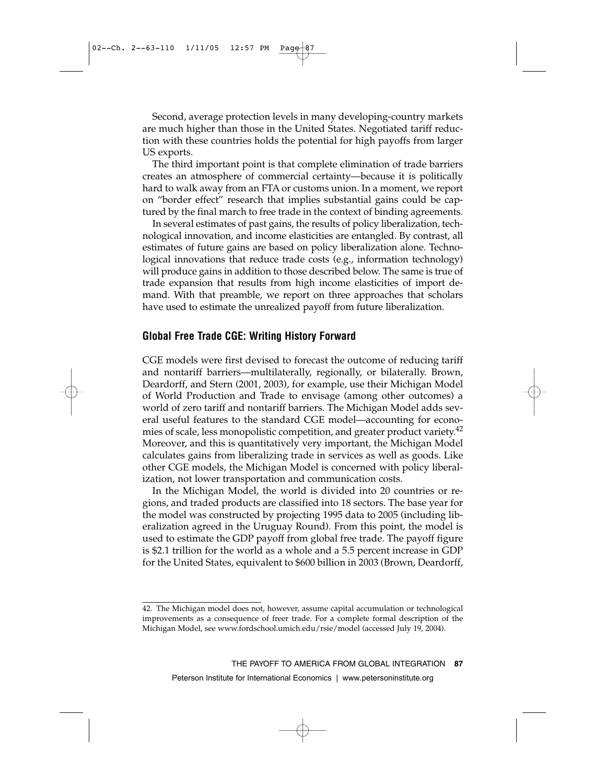Second, average protection levels in many developing-country markets are much higher than those in the United States. Negotiated tariff reduction with these countries holds the potential for high payoffs from larger US exports.

The third important point is that complete elimination of trade barriers creates an atmosphere of commercial certainty—because it is politically hard to walk away from an FTA or customs union. In a moment, we report on "border effect" research that implies substantial gains could be captured by the final march to free trade in the context of binding agreements.

In several estimates of past gains, the results of policy liberalization, technological innovation, and income elasticities are entangled. By contrast, all estimates of future gains are based on policy liberalization alone. Technological innovations that reduce trade costs (e.g., information technology) will produce gains in addition to those described below. The same is true of trade expansion that results from high income elasticities of import demand. With that preamble, we report on three approaches that scholars have used to estimate the unrealized payoff from future liberalization.

### **Global Free Trade CGE: Writing History Forward**

CGE models were first devised to forecast the outcome of reducing tariff and nontariff barriers—multilaterally, regionally, or bilaterally. Brown, Deardorff, and Stern (2001, 2003), for example, use their Michigan Model of World Production and Trade to envisage (among other outcomes) a world of zero tariff and nontariff barriers. The Michigan Model adds several useful features to the standard CGE model—accounting for economies of scale, less monopolistic competition, and greater product variety.<sup>42</sup> Moreover, and this is quantitatively very important, the Michigan Model calculates gains from liberalizing trade in services as well as goods. Like other CGE models, the Michigan Model is concerned with policy liberalization, not lower transportation and communication costs.

In the Michigan Model, the world is divided into 20 countries or regions, and traded products are classified into 18 sectors. The base year for the model was constructed by projecting 1995 data to 2005 (including liberalization agreed in the Uruguay Round). From this point, the model is used to estimate the GDP payoff from global free trade. The payoff figure is \$2.1 trillion for the world as a whole and a 5.5 percent increase in GDP for the United States, equivalent to \$600 billion in 2003 (Brown, Deardorff,

<sup>42.</sup> The Michigan model does not, however, assume capital accumulation or technological improvements as a consequence of freer trade. For a complete formal description of the Michigan Model, see www.fordschool.umich.edu/rsie/model (accessed July 19, 2004).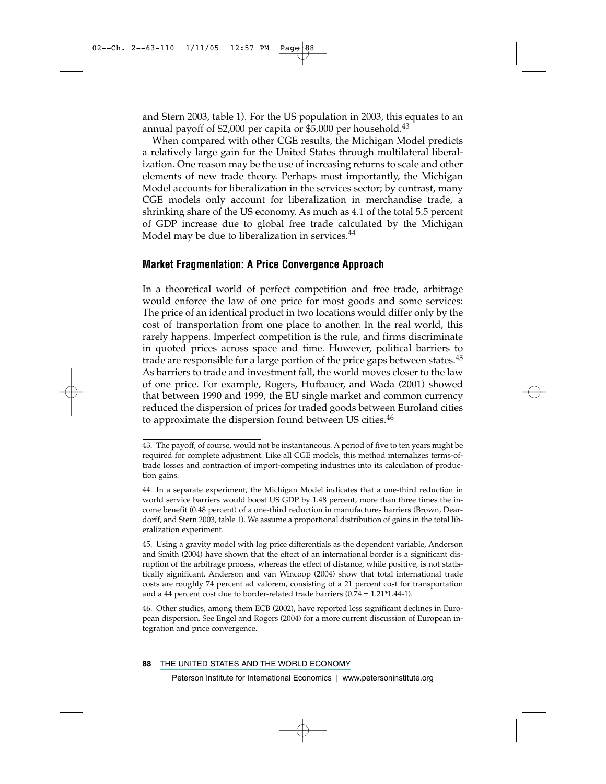and Stern 2003, table 1). For the US population in 2003, this equates to an annual payoff of \$2,000 per capita or \$5,000 per household.<sup>43</sup>

When compared with other CGE results, the Michigan Model predicts a relatively large gain for the United States through multilateral liberalization. One reason may be the use of increasing returns to scale and other elements of new trade theory. Perhaps most importantly, the Michigan Model accounts for liberalization in the services sector; by contrast, many CGE models only account for liberalization in merchandise trade, a shrinking share of the US economy. As much as 4.1 of the total 5.5 percent of GDP increase due to global free trade calculated by the Michigan Model may be due to liberalization in services.<sup>44</sup>

### **Market Fragmentation: A Price Convergence Approach**

In a theoretical world of perfect competition and free trade, arbitrage would enforce the law of one price for most goods and some services: The price of an identical product in two locations would differ only by the cost of transportation from one place to another. In the real world, this rarely happens. Imperfect competition is the rule, and firms discriminate in quoted prices across space and time. However, political barriers to trade are responsible for a large portion of the price gaps between states.<sup>45</sup> As barriers to trade and investment fall, the world moves closer to the law of one price. For example, Rogers, Hufbauer, and Wada (2001) showed that between 1990 and 1999, the EU single market and common currency reduced the dispersion of prices for traded goods between Euroland cities to approximate the dispersion found between US cities.<sup>46</sup>

### **88** [THE UNITED STATES AND THE WORLD ECONOMY](http://bookstore.petersoninstitute.org/book-store/3802.html)

<sup>43.</sup> The payoff, of course, would not be instantaneous. A period of five to ten years might be required for complete adjustment. Like all CGE models, this method internalizes terms-oftrade losses and contraction of import-competing industries into its calculation of production gains.

<sup>44.</sup> In a separate experiment, the Michigan Model indicates that a one-third reduction in world service barriers would boost US GDP by 1.48 percent, more than three times the income benefit (0.48 percent) of a one-third reduction in manufactures barriers (Brown, Deardorff, and Stern 2003, table 1). We assume a proportional distribution of gains in the total liberalization experiment.

<sup>45.</sup> Using a gravity model with log price differentials as the dependent variable, Anderson and Smith (2004) have shown that the effect of an international border is a significant disruption of the arbitrage process, whereas the effect of distance, while positive, is not statistically significant. Anderson and van Wincoop (2004) show that total international trade costs are roughly 74 percent ad valorem, consisting of a 21 percent cost for transportation and a 44 percent cost due to border-related trade barriers (0.74 = 1.21\*1.44-1).

<sup>46.</sup> Other studies, among them ECB (2002), have reported less significant declines in European dispersion. See Engel and Rogers (2004) for a more current discussion of European integration and price convergence.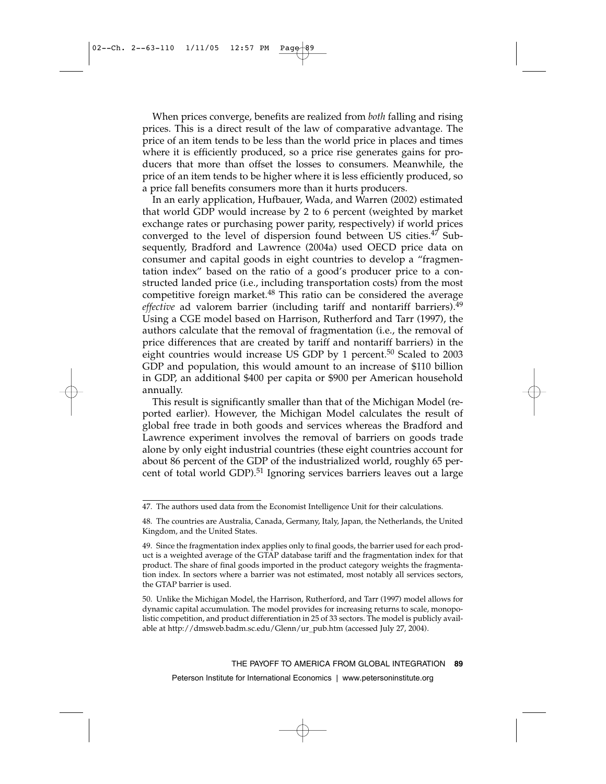When prices converge, benefits are realized from *both* falling and rising prices. This is a direct result of the law of comparative advantage. The price of an item tends to be less than the world price in places and times where it is efficiently produced, so a price rise generates gains for producers that more than offset the losses to consumers. Meanwhile, the price of an item tends to be higher where it is less efficiently produced, so a price fall benefits consumers more than it hurts producers.

In an early application, Hufbauer, Wada, and Warren (2002) estimated that world GDP would increase by 2 to 6 percent (weighted by market exchange rates or purchasing power parity, respectively) if world prices converged to the level of dispersion found between US cities.<sup>47</sup> Subsequently, Bradford and Lawrence (2004a) used OECD price data on consumer and capital goods in eight countries to develop a "fragmentation index" based on the ratio of a good's producer price to a constructed landed price (i.e., including transportation costs) from the most competitive foreign market.<sup>48</sup> This ratio can be considered the average effective ad valorem barrier (including tariff and nontariff barriers).<sup>49</sup> Using a CGE model based on Harrison, Rutherford and Tarr (1997), the authors calculate that the removal of fragmentation (i.e., the removal of price differences that are created by tariff and nontariff barriers) in the eight countries would increase US GDP by 1 percent.<sup>50</sup> Scaled to  $2003$ GDP and population, this would amount to an increase of \$110 billion in GDP, an additional \$400 per capita or \$900 per American household annually.

This result is significantly smaller than that of the Michigan Model (reported earlier). However, the Michigan Model calculates the result of global free trade in both goods and services whereas the Bradford and Lawrence experiment involves the removal of barriers on goods trade alone by only eight industrial countries (these eight countries account for about 86 percent of the GDP of the industrialized world, roughly 65 percent of total world GDP).<sup>51</sup> Ignoring services barriers leaves out a large

<sup>47.</sup> The authors used data from the Economist Intelligence Unit for their calculations.

<sup>48.</sup> The countries are Australia, Canada, Germany, Italy, Japan, the Netherlands, the United Kingdom, and the United States.

<sup>49.</sup> Since the fragmentation index applies only to final goods, the barrier used for each product is a weighted average of the GTAP database tariff and the fragmentation index for that product. The share of final goods imported in the product category weights the fragmentation index. In sectors where a barrier was not estimated, most notably all services sectors, the GTAP barrier is used.

<sup>50.</sup> Unlike the Michigan Model, the Harrison, Rutherford, and Tarr (1997) model allows for dynamic capital accumulation. The model provides for increasing returns to scale, monopolistic competition, and product differentiation in 25 of 33 sectors. The model is publicly available at http://dmsweb.badm.sc.edu/Glenn/ur\_pub.htm (accessed July 27, 2004).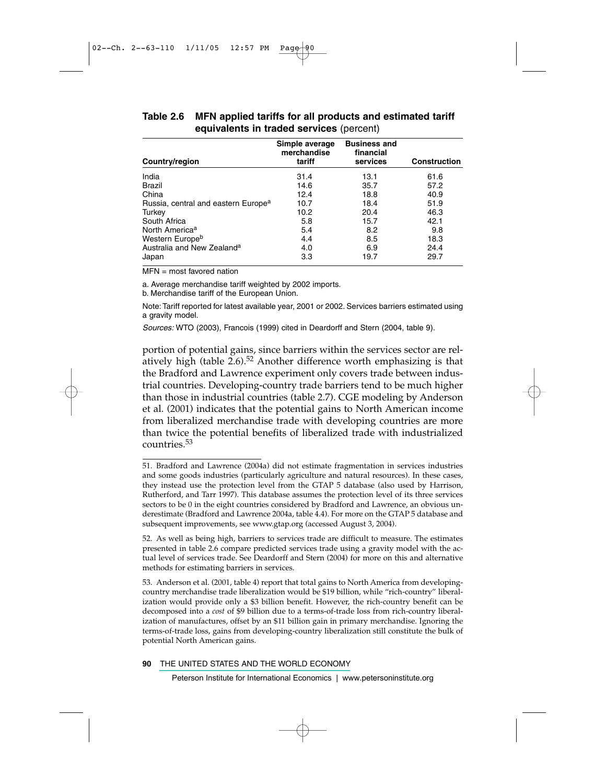| Country/region                                  | Simple average<br>merchandise<br>tariff | <b>Business and</b><br>financial<br>services | Construction |
|-------------------------------------------------|-----------------------------------------|----------------------------------------------|--------------|
| India                                           | 31.4                                    | 13.1                                         | 61.6         |
| <b>Brazil</b>                                   | 14.6                                    | 35.7                                         | 57.2         |
| China                                           | 12.4                                    | 18.8                                         | 40.9         |
| Russia, central and eastern Europe <sup>a</sup> | 10.7                                    | 18.4                                         | 51.9         |
| Turkey                                          | 10.2                                    | 20.4                                         | 46.3         |
| South Africa                                    | 5.8                                     | 15.7                                         | 42.1         |
| North America <sup>a</sup>                      | 5.4                                     | 8.2                                          | 9.8          |
| Western Europe <sup>b</sup>                     | 4.4                                     | 8.5                                          | 18.3         |
| Australia and New Zealand <sup>a</sup>          | 4.0                                     | 6.9                                          | 24.4         |
| Japan                                           | 3.3                                     | 19.7                                         | 29.7         |

### **Table 2.6 MFN applied tariffs for all products and estimated tariff equivalents in traded services** (percent)

MFN = most favored nation

a. Average merchandise tariff weighted by 2002 imports.

b. Merchandise tariff of the European Union.

Note: Tariff reported for latest available year, 2001 or 2002. Services barriers estimated using a gravity model.

*Sources:* WTO (2003), Francois (1999) cited in Deardorff and Stern (2004, table 9).

portion of potential gains, since barriers within the services sector are relatively high (table 2.6).<sup>52</sup> Another difference worth emphasizing is that the Bradford and Lawrence experiment only covers trade between industrial countries. Developing-country trade barriers tend to be much higher than those in industrial countries (table 2.7). CGE modeling by Anderson et al. (2001) indicates that the potential gains to North American income from liberalized merchandise trade with developing countries are more than twice the potential benefits of liberalized trade with industrialized countries<sup>53</sup>

#### **90** [THE UNITED STATES AND THE WORLD ECONOMY](http://bookstore.petersoninstitute.org/book-store/3802.html)

<sup>51.</sup> Bradford and Lawrence (2004a) did not estimate fragmentation in services industries and some goods industries (particularly agriculture and natural resources). In these cases, they instead use the protection level from the GTAP 5 database (also used by Harrison, Rutherford, and Tarr 1997). This database assumes the protection level of its three services sectors to be 0 in the eight countries considered by Bradford and Lawrence, an obvious underestimate (Bradford and Lawrence 2004a, table 4.4). For more on the GTAP 5 database and subsequent improvements, see www.gtap.org (accessed August 3, 2004).

<sup>52.</sup> As well as being high, barriers to services trade are difficult to measure. The estimates presented in table 2.6 compare predicted services trade using a gravity model with the actual level of services trade. See Deardorff and Stern (2004) for more on this and alternative methods for estimating barriers in services.

<sup>53.</sup> Anderson et al. (2001, table 4) report that total gains to North America from developingcountry merchandise trade liberalization would be \$19 billion, while "rich-country" liberalization would provide only a \$3 billion benefit. However, the rich-country benefit can be decomposed into a *cost* of \$9 billion due to a terms-of-trade loss from rich-country liberalization of manufactures, offset by an \$11 billion gain in primary merchandise. Ignoring the terms-of-trade loss, gains from developing-country liberalization still constitute the bulk of potential North American gains.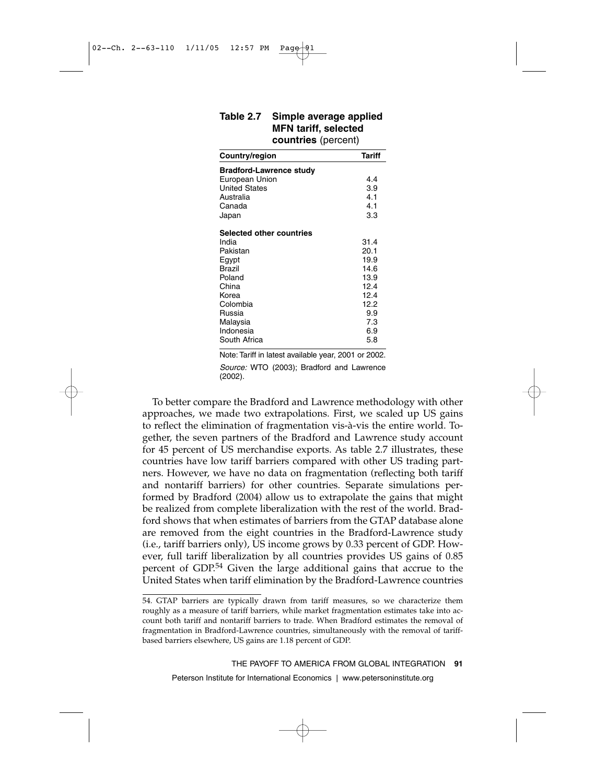| Table 2.7 | Simple average applied      |
|-----------|-----------------------------|
|           | <b>MFN tariff, selected</b> |
|           | countries (percent)         |

| Country/region                  | Tariff |
|---------------------------------|--------|
| <b>Bradford-Lawrence study</b>  |        |
| European Union                  | 4.4    |
| <b>United States</b>            | 3.9    |
| Australia                       | 4.1    |
| Canada                          | 4.1    |
| Japan                           | 3.3    |
| <b>Selected other countries</b> |        |
| India                           | 31.4   |
| Pakistan                        | 20.1   |
| Egypt                           | 19.9   |
| <b>Brazil</b>                   | 14.6   |
| Poland                          | 13.9   |
| China                           | 12.4   |
| Korea                           | 12.4   |
| Colombia                        | 12.2   |
| Russia                          | 9.9    |
| Malaysia                        | 7.3    |
| Indonesia                       | 6.9    |
| South Africa                    | 5.8    |

Note: Tariff in latest available year, 2001 or 2002. *Source:* WTO (2003); Bradford and Lawrence (2002).

To better compare the Bradford and Lawrence methodology with other approaches, we made two extrapolations. First, we scaled up US gains to reflect the elimination of fragmentation vis-à-vis the entire world. Together, the seven partners of the Bradford and Lawrence study account for 45 percent of US merchandise exports. As table 2.7 illustrates, these countries have low tariff barriers compared with other US trading partners. However, we have no data on fragmentation (reflecting both tariff and nontariff barriers) for other countries. Separate simulations performed by Bradford (2004) allow us to extrapolate the gains that might be realized from complete liberalization with the rest of the world. Bradford shows that when estimates of barriers from the GTAP database alone are removed from the eight countries in the Bradford-Lawrence study (i.e., tariff barriers only), US income grows by 0.33 percent of GDP. However, full tariff liberalization by all countries provides US gains of 0.85 percent of GDP.<sup>54</sup> Given the large additional gains that accrue to the United States when tariff elimination by the Bradford-Lawrence countries

<sup>54.</sup> GTAP barriers are typically drawn from tariff measures, so we characterize them roughly as a measure of tariff barriers, while market fragmentation estimates take into account both tariff and nontariff barriers to trade. When Bradford estimates the removal of fragmentation in Bradford-Lawrence countries, simultaneously with the removal of tariffbased barriers elsewhere, US gains are 1.18 percent of GDP.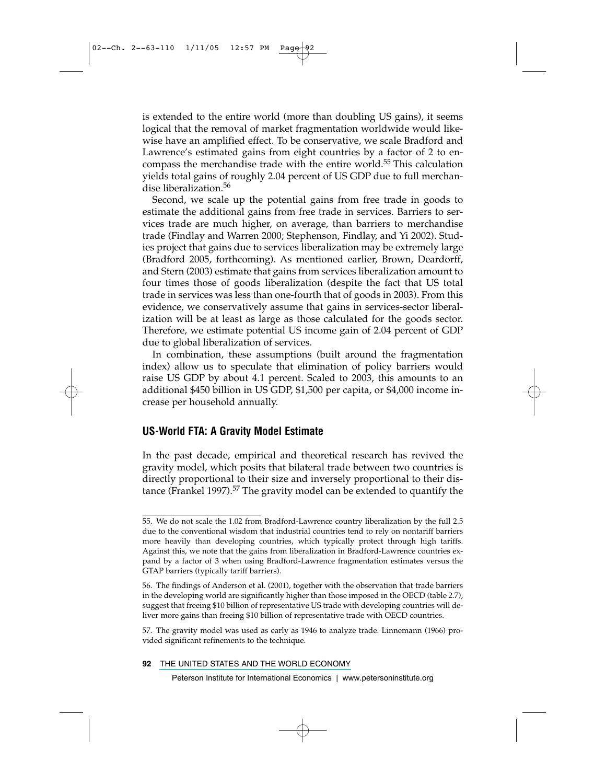is extended to the entire world (more than doubling US gains), it seems logical that the removal of market fragmentation worldwide would likewise have an amplified effect. To be conservative, we scale Bradford and Lawrence's estimated gains from eight countries by a factor of 2 to encompass the merchandise trade with the entire world.55 This calculation yields total gains of roughly 2.04 percent of US GDP due to full merchandise liberalization.<sup>56</sup>

Second, we scale up the potential gains from free trade in goods to estimate the additional gains from free trade in services. Barriers to services trade are much higher, on average, than barriers to merchandise trade (Findlay and Warren 2000; Stephenson, Findlay, and Yi 2002). Studies project that gains due to services liberalization may be extremely large (Bradford 2005, forthcoming). As mentioned earlier, Brown, Deardorff, and Stern (2003) estimate that gains from services liberalization amount to four times those of goods liberalization (despite the fact that US total trade in services was less than one-fourth that of goods in 2003). From this evidence, we conservatively assume that gains in services-sector liberalization will be at least as large as those calculated for the goods sector. Therefore, we estimate potential US income gain of 2.04 percent of GDP due to global liberalization of services.

In combination, these assumptions (built around the fragmentation index) allow us to speculate that elimination of policy barriers would raise US GDP by about 4.1 percent. Scaled to 2003, this amounts to an additional \$450 billion in US GDP, \$1,500 per capita, or \$4,000 income increase per household annually.

### **US-World FTA: A Gravity Model Estimate**

In the past decade, empirical and theoretical research has revived the gravity model, which posits that bilateral trade between two countries is directly proportional to their size and inversely proportional to their distance (Frankel 1997).<sup>57</sup> The gravity model can be extended to quantify the

### **92** [THE UNITED STATES AND THE WORLD ECONOMY](http://bookstore.petersoninstitute.org/book-store/3802.html)

<sup>55.</sup> We do not scale the 1.02 from Bradford-Lawrence country liberalization by the full 2.5 due to the conventional wisdom that industrial countries tend to rely on nontariff barriers more heavily than developing countries, which typically protect through high tariffs. Against this, we note that the gains from liberalization in Bradford-Lawrence countries expand by a factor of 3 when using Bradford-Lawrence fragmentation estimates versus the GTAP barriers (typically tariff barriers).

<sup>56.</sup> The findings of Anderson et al. (2001), together with the observation that trade barriers in the developing world are significantly higher than those imposed in the OECD (table 2.7), suggest that freeing \$10 billion of representative US trade with developing countries will deliver more gains than freeing \$10 billion of representative trade with OECD countries.

<sup>57.</sup> The gravity model was used as early as 1946 to analyze trade. Linnemann (1966) provided significant refinements to the technique.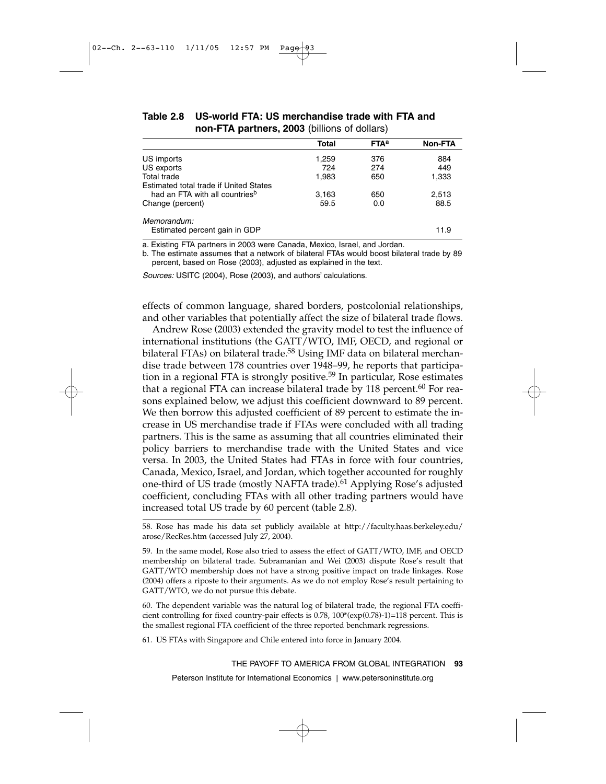|                                            | Total | <b>FTA</b> <sup>a</sup> | <b>Non-FTA</b> |
|--------------------------------------------|-------|-------------------------|----------------|
| US imports                                 | 1,259 | 376                     | 884            |
| US exports                                 | 724   | 274                     | 449            |
| Total trade                                | 1.983 | 650                     | 1,333          |
| Estimated total trade if United States     |       |                         |                |
| had an FTA with all countries <sup>b</sup> | 3.163 | 650                     | 2.513          |
| Change (percent)                           | 59.5  | 0.0                     | 88.5           |
| Memorandum:                                |       |                         |                |
| Estimated percent gain in GDP              |       |                         | 11.9           |

### **Table 2.8 US-world FTA: US merchandise trade with FTA and non-FTA partners, 2003** (billions of dollars)

a. Existing FTA partners in 2003 were Canada, Mexico, Israel, and Jordan.

b. The estimate assumes that a network of bilateral FTAs would boost bilateral trade by 89 percent, based on Rose (2003), adjusted as explained in the text.

*Sources:* USITC (2004), Rose (2003), and authors' calculations.

effects of common language, shared borders, postcolonial relationships, and other variables that potentially affect the size of bilateral trade flows.

Andrew Rose (2003) extended the gravity model to test the influence of international institutions (the GATT/WTO, IMF, OECD, and regional or bilateral FTAs) on bilateral trade.<sup>58</sup> Using IMF data on bilateral merchandise trade between 178 countries over 1948–99, he reports that participation in a regional FTA is strongly positive.<sup>59</sup> In particular, Rose estimates that a regional FTA can increase bilateral trade by 118 percent.<sup>60</sup> For reasons explained below, we adjust this coefficient downward to 89 percent. We then borrow this adjusted coefficient of 89 percent to estimate the increase in US merchandise trade if FTAs were concluded with all trading partners. This is the same as assuming that all countries eliminated their policy barriers to merchandise trade with the United States and vice versa. In 2003, the United States had FTAs in force with four countries, Canada, Mexico, Israel, and Jordan, which together accounted for roughly one-third of US trade (mostly NAFTA trade).<sup>61</sup> Applying Rose's adjusted coefficient, concluding FTAs with all other trading partners would have increased total US trade by 60 percent (table 2.8).

60. The dependent variable was the natural log of bilateral trade, the regional FTA coefficient controlling for fixed country-pair effects is 0.78, 100\*(exp(0.78)-1)=118 percent. This is the smallest regional FTA coefficient of the three reported benchmark regressions.

61. US FTAs with Singapore and Chile entered into force in January 2004.

<sup>58.</sup> Rose has made his data set publicly available at http://faculty.haas.berkeley.edu/ arose/RecRes.htm (accessed July 27, 2004).

<sup>59.</sup> In the same model, Rose also tried to assess the effect of GATT/WTO, IMF, and OECD membership on bilateral trade. Subramanian and Wei (2003) dispute Rose's result that GATT/WTO membership does not have a strong positive impact on trade linkages. Rose (2004) offers a riposte to their arguments. As we do not employ Rose's result pertaining to GATT/WTO, we do not pursue this debate.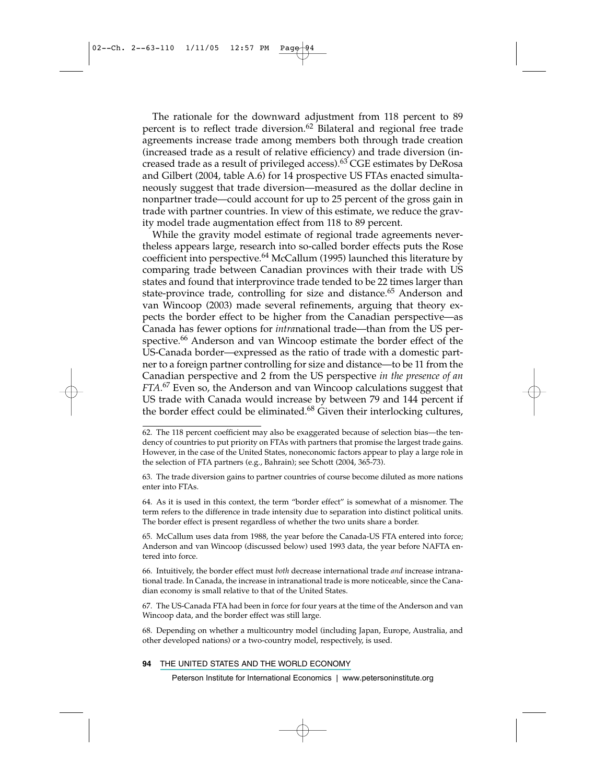The rationale for the downward adjustment from 118 percent to 89 percent is to reflect trade diversion.<sup>62</sup> Bilateral and regional free trade agreements increase trade among members both through trade creation (increased trade as a result of relative efficiency) and trade diversion (increased trade as a result of privileged access).<sup>63</sup> CGE estimates by DeRosa and Gilbert (2004, table A.6) for 14 prospective US FTAs enacted simultaneously suggest that trade diversion—measured as the dollar decline in nonpartner trade—could account for up to 25 percent of the gross gain in trade with partner countries. In view of this estimate, we reduce the gravity model trade augmentation effect from 118 to 89 percent.

While the gravity model estimate of regional trade agreements nevertheless appears large, research into so-called border effects puts the Rose coefficient into perspective.<sup>64</sup> McCallum (1995) launched this literature by comparing trade between Canadian provinces with their trade with US states and found that interprovince trade tended to be 22 times larger than state-province trade, controlling for size and distance.<sup>65</sup> Anderson and van Wincoop (2003) made several refinements, arguing that theory expects the border effect to be higher from the Canadian perspective—as Canada has fewer options for *intra*national trade—than from the US perspective.<sup>66</sup> Anderson and van Wincoop estimate the border effect of the US-Canada border—expressed as the ratio of trade with a domestic partner to a foreign partner controlling for size and distance—to be 11 from the Canadian perspective and 2 from the US perspective *in the presence of an FTA*. <sup>67</sup> Even so, the Anderson and van Wincoop calculations suggest that US trade with Canada would increase by between 79 and 144 percent if the border effect could be eliminated.<sup>68</sup> Given their interlocking cultures,

64. As it is used in this context, the term "border effect" is somewhat of a misnomer. The term refers to the difference in trade intensity due to separation into distinct political units. The border effect is present regardless of whether the two units share a border.

65. McCallum uses data from 1988, the year before the Canada-US FTA entered into force; Anderson and van Wincoop (discussed below) used 1993 data, the year before NAFTA entered into force.

66. Intuitively, the border effect must *both* decrease international trade *and* increase intranational trade. In Canada, the increase in intranational trade is more noticeable, since the Canadian economy is small relative to that of the United States.

67. The US-Canada FTA had been in force for four years at the time of the Anderson and van Wincoop data, and the border effect was still large.

68. Depending on whether a multicountry model (including Japan, Europe, Australia, and other developed nations) or a two-country model, respectively, is used.

#### **94** [THE UNITED STATES AND THE WORLD ECONOMY](http://bookstore.petersoninstitute.org/book-store/3802.html)

<sup>62.</sup> The 118 percent coefficient may also be exaggerated because of selection bias—the tendency of countries to put priority on FTAs with partners that promise the largest trade gains. However, in the case of the United States, noneconomic factors appear to play a large role in the selection of FTA partners (e.g., Bahrain); see Schott (2004, 365-73).

<sup>63.</sup> The trade diversion gains to partner countries of course become diluted as more nations enter into FTAs.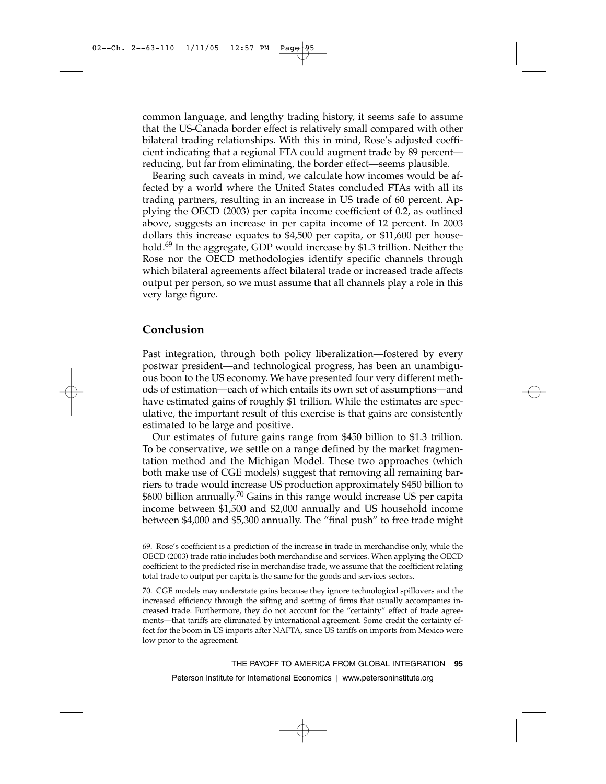common language, and lengthy trading history, it seems safe to assume that the US-Canada border effect is relatively small compared with other bilateral trading relationships. With this in mind, Rose's adjusted coefficient indicating that a regional FTA could augment trade by 89 percent reducing, but far from eliminating, the border effect—seems plausible.

Bearing such caveats in mind, we calculate how incomes would be affected by a world where the United States concluded FTAs with all its trading partners, resulting in an increase in US trade of 60 percent. Applying the OECD (2003) per capita income coefficient of 0.2, as outlined above, suggests an increase in per capita income of 12 percent. In 2003 dollars this increase equates to \$4,500 per capita, or \$11,600 per household.<sup>69</sup> In the aggregate, GDP would increase by \$1.3 trillion. Neither the Rose nor the OECD methodologies identify specific channels through which bilateral agreements affect bilateral trade or increased trade affects output per person, so we must assume that all channels play a role in this very large figure.

# **Conclusion**

Past integration, through both policy liberalization—fostered by every postwar president—and technological progress, has been an unambiguous boon to the US economy. We have presented four very different methods of estimation—each of which entails its own set of assumptions—and have estimated gains of roughly \$1 trillion. While the estimates are speculative, the important result of this exercise is that gains are consistently estimated to be large and positive.

Our estimates of future gains range from \$450 billion to \$1.3 trillion. To be conservative, we settle on a range defined by the market fragmentation method and the Michigan Model. These two approaches (which both make use of CGE models) suggest that removing all remaining barriers to trade would increase US production approximately \$450 billion to \$600 billion annually.<sup>70</sup> Gains in this range would increase US per capita income between \$1,500 and \$2,000 annually and US household income between \$4,000 and \$5,300 annually. The "final push" to free trade might

<sup>69.</sup> Rose's coefficient is a prediction of the increase in trade in merchandise only, while the OECD (2003) trade ratio includes both merchandise and services. When applying the OECD coefficient to the predicted rise in merchandise trade, we assume that the coefficient relating total trade to output per capita is the same for the goods and services sectors.

<sup>70.</sup> CGE models may understate gains because they ignore technological spillovers and the increased efficiency through the sifting and sorting of firms that usually accompanies increased trade. Furthermore, they do not account for the "certainty" effect of trade agreements—that tariffs are eliminated by international agreement. Some credit the certainty effect for the boom in US imports after NAFTA, since US tariffs on imports from Mexico were low prior to the agreement.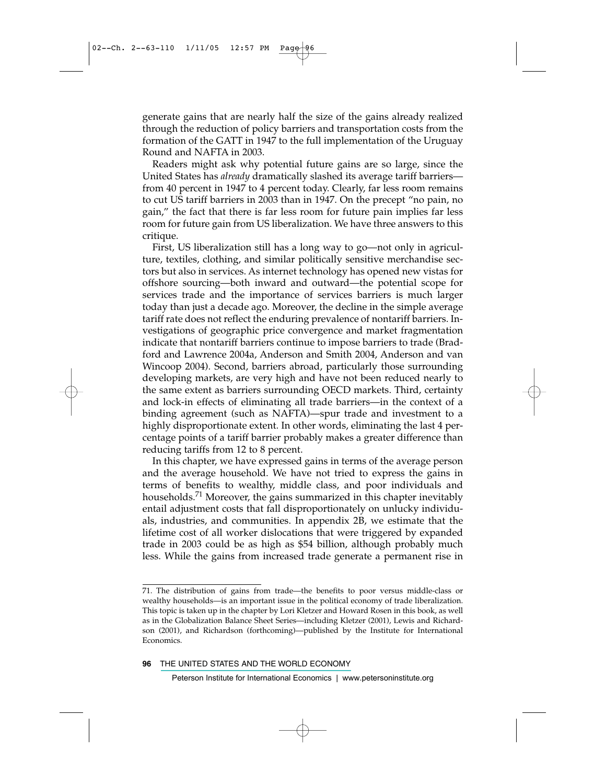generate gains that are nearly half the size of the gains already realized through the reduction of policy barriers and transportation costs from the formation of the GATT in 1947 to the full implementation of the Uruguay Round and NAFTA in 2003.

Readers might ask why potential future gains are so large, since the United States has *already* dramatically slashed its average tariff barriers from 40 percent in 1947 to 4 percent today. Clearly, far less room remains to cut US tariff barriers in 2003 than in 1947. On the precept "no pain, no gain," the fact that there is far less room for future pain implies far less room for future gain from US liberalization. We have three answers to this critique.

First, US liberalization still has a long way to go—not only in agriculture, textiles, clothing, and similar politically sensitive merchandise sectors but also in services. As internet technology has opened new vistas for offshore sourcing—both inward and outward—the potential scope for services trade and the importance of services barriers is much larger today than just a decade ago. Moreover, the decline in the simple average tariff rate does not reflect the enduring prevalence of nontariff barriers. Investigations of geographic price convergence and market fragmentation indicate that nontariff barriers continue to impose barriers to trade (Bradford and Lawrence 2004a, Anderson and Smith 2004, Anderson and van Wincoop 2004). Second, barriers abroad, particularly those surrounding developing markets, are very high and have not been reduced nearly to the same extent as barriers surrounding OECD markets. Third, certainty and lock-in effects of eliminating all trade barriers—in the context of a binding agreement (such as NAFTA)—spur trade and investment to a highly disproportionate extent. In other words, eliminating the last 4 percentage points of a tariff barrier probably makes a greater difference than reducing tariffs from 12 to 8 percent.

In this chapter, we have expressed gains in terms of the average person and the average household. We have not tried to express the gains in terms of benefits to wealthy, middle class, and poor individuals and households.<sup>71</sup> Moreover, the gains summarized in this chapter inevitably entail adjustment costs that fall disproportionately on unlucky individuals, industries, and communities. In appendix 2B, we estimate that the lifetime cost of all worker dislocations that were triggered by expanded trade in 2003 could be as high as \$54 billion, although probably much less. While the gains from increased trade generate a permanent rise in

#### **96** [THE UNITED STATES AND THE WORLD ECONOMY](http://bookstore.petersoninstitute.org/book-store/3802.html)

<sup>71.</sup> The distribution of gains from trade—the benefits to poor versus middle-class or wealthy households—is an important issue in the political economy of trade liberalization. This topic is taken up in the chapter by Lori Kletzer and Howard Rosen in this book, as well as in the Globalization Balance Sheet Series—including Kletzer (2001), Lewis and Richardson (2001), and Richardson (forthcoming)—published by the Institute for International Economics.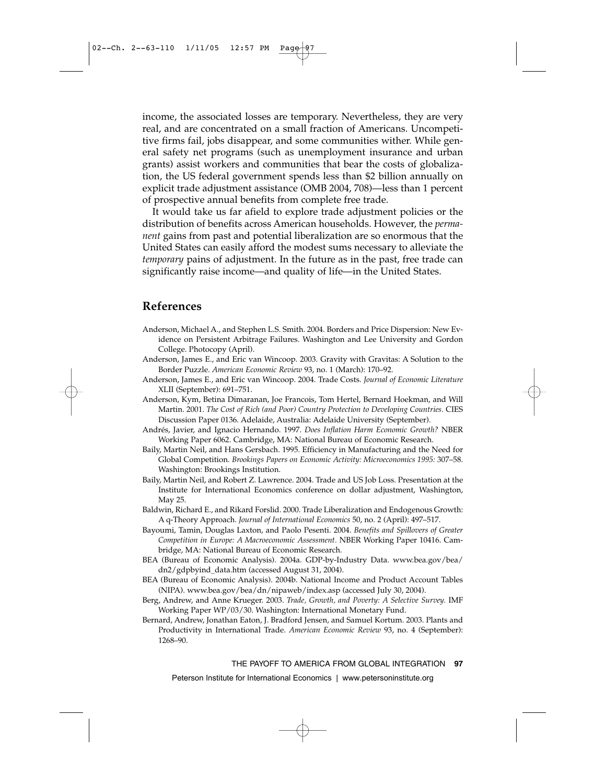income, the associated losses are temporary. Nevertheless, they are very real, and are concentrated on a small fraction of Americans. Uncompetitive firms fail, jobs disappear, and some communities wither. While general safety net programs (such as unemployment insurance and urban grants) assist workers and communities that bear the costs of globalization, the US federal government spends less than \$2 billion annually on explicit trade adjustment assistance (OMB 2004, 708)—less than 1 percent of prospective annual benefits from complete free trade.

It would take us far afield to explore trade adjustment policies or the distribution of benefits across American households. However, the *permanent* gains from past and potential liberalization are so enormous that the United States can easily afford the modest sums necessary to alleviate the *temporary* pains of adjustment. In the future as in the past, free trade can significantly raise income—and quality of life—in the United States.

# **References**

- Anderson, Michael A., and Stephen L.S. Smith. 2004. Borders and Price Dispersion: New Evidence on Persistent Arbitrage Failures. Washington and Lee University and Gordon College. Photocopy (April).
- Anderson, James E., and Eric van Wincoop. 2003. Gravity with Gravitas: A Solution to the Border Puzzle. *American Economic Review* 93, no. 1 (March): 170–92.
- Anderson, James E., and Eric van Wincoop. 2004. Trade Costs. *Journal of Economic Literature* XLII (September): 691–751.
- Anderson, Kym, Betina Dimaranan, Joe Francois, Tom Hertel, Bernard Hoekman, and Will Martin. 2001. *The Cost of Rich (and Poor) Country Protection to Developing Countries.* CIES Discussion Paper 0136. Adelaide, Australia: Adelaide University (September).
- Andrés, Javier, and Ignacio Hernando. 1997. *Does Inflation Harm Economic Growth?* NBER Working Paper 6062. Cambridge, MA: National Bureau of Economic Research.
- Baily, Martin Neil, and Hans Gersbach. 1995. Efficiency in Manufacturing and the Need for Global Competition. *Brookings Papers on Economic Activity: Microeconomics 1995:* 307–58. Washington: Brookings Institution.
- Baily, Martin Neil, and Robert Z. Lawrence. 2004. Trade and US Job Loss. Presentation at the Institute for International Economics conference on dollar adjustment, Washington, May 25.
- Baldwin, Richard E., and Rikard Forslid. 2000. Trade Liberalization and Endogenous Growth: A q-Theory Approach. *Journal of International Economics* 50, no. 2 (April): 497–517.
- Bayoumi, Tamin, Douglas Laxton, and Paolo Pesenti. 2004. *Benefits and Spillovers of Greater Competition in Europe: A Macroeconomic Assessment.* NBER Working Paper 10416. Cambridge, MA: National Bureau of Economic Research.
- BEA (Bureau of Economic Analysis). 2004a. GDP-by-Industry Data. www.bea.gov/bea/ dn2/gdpbyind\_data.htm (accessed August 31, 2004).
- BEA (Bureau of Economic Analysis). 2004b. National Income and Product Account Tables (NIPA). www.bea.gov/bea/dn/nipaweb/index.asp (accessed July 30, 2004).
- Berg, Andrew, and Anne Krueger. 2003. *Trade, Growth, and Poverty: A Selective Survey.* IMF Working Paper WP/03/30. Washington: International Monetary Fund.
- Bernard, Andrew, Jonathan Eaton, J. Bradford Jensen, and Samuel Kortum. 2003. Plants and Productivity in International Trade. *American Economic Review* 93, no. 4 (September): 1268–90.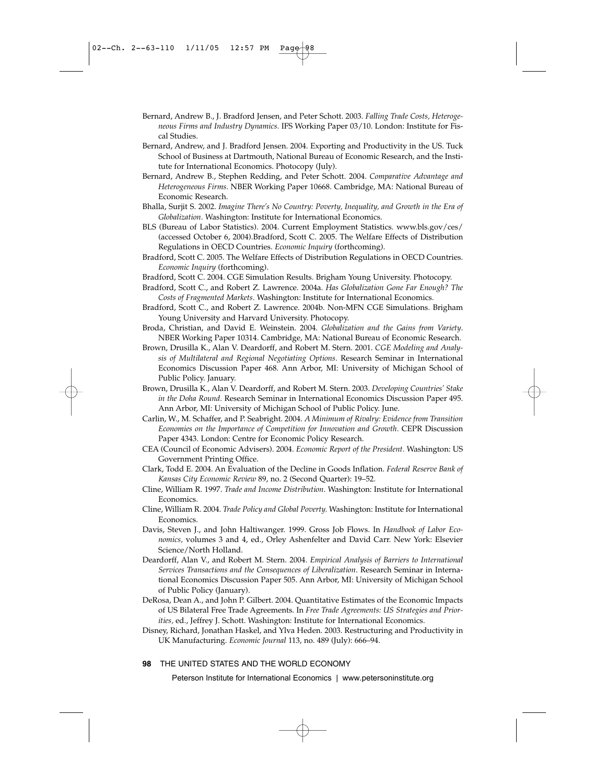- Bernard, Andrew B., J. Bradford Jensen, and Peter Schott. 2003. *Falling Trade Costs, Heterogeneous Firms and Industry Dynamics.* IFS Working Paper 03/10. London: Institute for Fiscal Studies.
- Bernard, Andrew, and J. Bradford Jensen. 2004. Exporting and Productivity in the US. Tuck School of Business at Dartmouth, National Bureau of Economic Research, and the Institute for International Economics. Photocopy (July).
- Bernard, Andrew B., Stephen Redding, and Peter Schott. 2004. *Comparative Advantage and Heterogeneous Firms.* NBER Working Paper 10668. Cambridge, MA: National Bureau of Economic Research.
- Bhalla, Surjit S. 2002. *Imagine There's No Country: Poverty, Inequality, and Growth in the Era of Globalization.* Washington: Institute for International Economics.
- BLS (Bureau of Labor Statistics). 2004. Current Employment Statistics. www.bls.gov/ces/ (accessed October 6, 2004).Bradford, Scott C. 2005. The Welfare Effects of Distribution Regulations in OECD Countries. *Economic Inquiry* (forthcoming).
- Bradford, Scott C. 2005. The Welfare Effects of Distribution Regulations in OECD Countries. *Economic Inquiry* (forthcoming).
- Bradford, Scott C. 2004. CGE Simulation Results. Brigham Young University. Photocopy.
- Bradford, Scott C., and Robert Z. Lawrence. 2004a. *Has Globalization Gone Far Enough? The Costs of Fragmented Markets.* Washington: Institute for International Economics.
- Bradford, Scott C., and Robert Z. Lawrence. 2004b. Non-MFN CGE Simulations. Brigham Young University and Harvard University. Photocopy.
- Broda, Christian, and David E. Weinstein. 2004. *Globalization and the Gains from Variety*. NBER Working Paper 10314*.* Cambridge, MA: National Bureau of Economic Research.
- Brown, Drusilla K., Alan V. Deardorff, and Robert M. Stern. 2001. *CGE Modeling and Analysis of Multilateral and Regional Negotiating Options.* Research Seminar in International Economics Discussion Paper 468. Ann Arbor, MI: University of Michigan School of Public Policy. January.
- Brown, Drusilla K., Alan V. Deardorff, and Robert M. Stern. 2003. *Developing Countries' Stake in the Doha Round.* Research Seminar in International Economics Discussion Paper 495. Ann Arbor, MI: University of Michigan School of Public Policy. June.
- Carlin, W., M. Schaffer, and P. Seabright. 2004. *A Minimum of Rivalry: Evidence from Transition Economies on the Importance of Competition for Innovation and Growth.* CEPR Discussion Paper 4343. London: Centre for Economic Policy Research.
- CEA (Council of Economic Advisers). 2004. *Economic Report of the President.* Washington: US Government Printing Office.
- Clark, Todd E. 2004. An Evaluation of the Decline in Goods Inflation. *Federal Reserve Bank of Kansas City Economic Review* 89, no. 2 (Second Quarter): 19–52.
- Cline, William R. 1997. *Trade and Income Distribution.* Washington: Institute for International Economics.
- Cline, William R. 2004. *Trade Policy and Global Poverty.* Washington: Institute for International Economics.
- Davis, Steven J., and John Haltiwanger. 1999. Gross Job Flows. In *Handbook of Labor Economics,* volumes 3 and 4, ed., Orley Ashenfelter and David Carr. New York: Elsevier Science/North Holland.
- Deardorff, Alan V., and Robert M. Stern. 2004. *Empirical Analysis of Barriers to International Services Transactions and the Consequences of Liberalization*. Research Seminar in International Economics Discussion Paper 505. Ann Arbor, MI: University of Michigan School of Public Policy (January).
- DeRosa, Dean A., and John P. Gilbert. 2004. Quantitative Estimates of the Economic Impacts of US Bilateral Free Trade Agreements. In *Free Trade Agreements: US Strategies and Priorities,* ed., Jeffrey J. Schott. Washington: Institute for International Economics.
- Disney, Richard, Jonathan Haskel, and Ylva Heden. 2003. Restructuring and Productivity in UK Manufacturing. *Economic Journal* 113, no. 489 (July): 666–94.

#### **98** THE UNITED STATES AND THE WORLD ECONOMY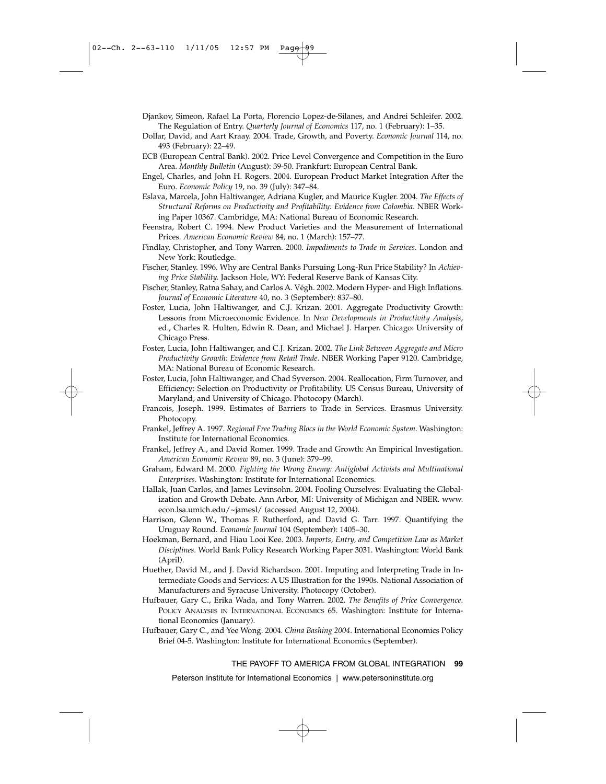- Djankov, Simeon, Rafael La Porta, Florencio Lopez-de-Silanes, and Andrei Schleifer. 2002. The Regulation of Entry. *Quarterly Journal of Economics* 117, no. 1 (February): 1–35.
- Dollar, David, and Aart Kraay. 2004. Trade, Growth, and Poverty. *Economic Journal* 114, no. 493 (February): 22–49.
- ECB (European Central Bank). 2002. Price Level Convergence and Competition in the Euro Area. *Monthly Bulletin* (August): 39-50. Frankfurt: European Central Bank.
- Engel, Charles, and John H. Rogers. 2004. European Product Market Integration After the Euro. *Economic Policy* 19, no. 39 (July): 347–84.
- Eslava, Marcela, John Haltiwanger, Adriana Kugler, and Maurice Kugler. 2004. *The Effects of Structural Reforms on Productivity and Profitability: Evidence from Colombia.* NBER Working Paper 10367. Cambridge, MA: National Bureau of Economic Research.
- Feenstra, Robert C. 1994. New Product Varieties and the Measurement of International Prices. *American Economic Review* 84, no. 1 (March): 157–77.
- Findlay, Christopher, and Tony Warren. 2000. *Impediments to Trade in Services*. London and New York: Routledge.
- Fischer, Stanley. 1996. Why are Central Banks Pursuing Long-Run Price Stability? In *Achieving Price Stability.* Jackson Hole, WY: Federal Reserve Bank of Kansas City.
- Fischer, Stanley, Ratna Sahay, and Carlos A. Végh. 2002. Modern Hyper- and High Inflations. *Journal of Economic Literature* 40, no. 3 (September): 837–80.
- Foster, Lucia, John Haltiwanger, and C.J. Krizan. 2001. Aggregate Productivity Growth: Lessons from Microeconomic Evidence. In *New Developments in Productivity Analysis*, ed., Charles R. Hulten, Edwin R. Dean, and Michael J. Harper. Chicago: University of Chicago Press.
- Foster, Lucia, John Haltiwanger, and C.J. Krizan. 2002. *The Link Between Aggregate and Micro Productivity Growth: Evidence from Retail Trade.* NBER Working Paper 9120. Cambridge, MA: National Bureau of Economic Research.
- Foster, Lucia, John Haltiwanger, and Chad Syverson. 2004. Reallocation, Firm Turnover, and Efficiency: Selection on Productivity or Profitability. US Census Bureau, University of Maryland, and University of Chicago. Photocopy (March).
- Francois, Joseph. 1999. Estimates of Barriers to Trade in Services. Erasmus University. Photocopy.
- Frankel, Jeffrey A. 1997. *Regional Free Trading Blocs in the World Economic System.* Washington: Institute for International Economics.
- Frankel, Jeffrey A., and David Romer. 1999. Trade and Growth: An Empirical Investigation. *American Economic Review* 89, no. 3 (June): 379–99.
- Graham, Edward M. 2000. *Fighting the Wrong Enemy: Antiglobal Activists and Multinational Enterprises.* Washington: Institute for International Economics.
- Hallak, Juan Carlos, and James Levinsohn. 2004. Fooling Ourselves: Evaluating the Globalization and Growth Debate. Ann Arbor, MI: University of Michigan and NBER. www. econ.lsa.umich.edu/~jamesl/ (accessed August 12, 2004).
- Harrison, Glenn W., Thomas F. Rutherford, and David G. Tarr. 1997. Quantifying the Uruguay Round. *Economic Journal* 104 (September): 1405–30.
- Hoekman, Bernard, and Hiau Looi Kee. 2003. *Imports, Entry, and Competition Law as Market Disciplines.* World Bank Policy Research Working Paper 3031. Washington: World Bank (April).
- Huether, David M., and J. David Richardson. 2001. Imputing and Interpreting Trade in Intermediate Goods and Services: A US Illustration for the 1990s. National Association of Manufacturers and Syracuse University. Photocopy (October).
- Hufbauer, Gary C., Erika Wada, and Tony Warren. 2002. *The Benefits of Price Convergence*. POLICY ANALYSES IN INTERNATIONAL ECONOMICS 65*.* Washington: Institute for International Economics (January).
- Hufbauer, Gary C., and Yee Wong. 2004. *China Bashing 2004.* International Economics Policy Brief 04-5. Washington: Institute for International Economics (September).

#### THE PAYOFF TO AMERICA FROM GLOBAL INTEGRATION **99**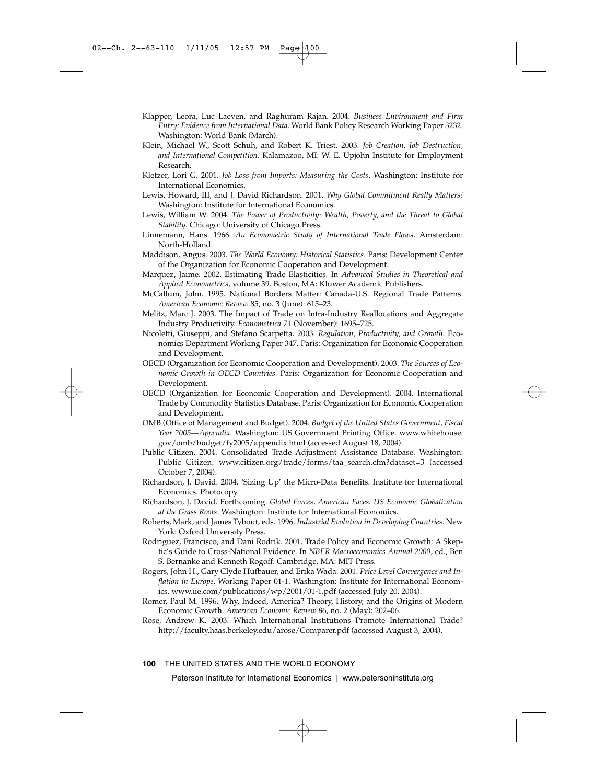- Klapper, Leora, Luc Laeven, and Raghuram Rajan. 2004. *Business Environment and Firm Entry: Evidence from International Data.* World Bank Policy Research Working Paper 3232. Washington: World Bank (March).
- Klein, Michael W., Scott Schuh, and Robert K. Triest. 2003. *Job Creation, Job Destruction, and International Competition*. Kalamazoo, MI: W. E. Upjohn Institute for Employment Research.
- Kletzer, Lori G. 2001. *Job Loss from Imports: Measuring the Costs*. Washington: Institute for International Economics.
- Lewis, Howard, III, and J. David Richardson. 2001. *Why Global Commitment Really Matters!* Washington: Institute for International Economics.
- Lewis, William W. 2004. *The Power of Productivity: Wealth, Poverty, and the Threat to Global Stability.* Chicago: University of Chicago Press.
- Linnemann, Hans. 1966. *An Econometric Study of International Trade Flows.* Amsterdam: North-Holland.
- Maddison, Angus. 2003. *The World Economy: Historical Statistics.* Paris: Development Center of the Organization for Economic Cooperation and Development.
- Marquez, Jaime. 2002. Estimating Trade Elasticities*.* In *Advanced Studies in Theoretical and Applied Econometrics*, volume 39. Boston, MA: Kluwer Academic Publishers.
- McCallum, John. 1995. National Borders Matter: Canada-U.S. Regional Trade Patterns. *American Economic Review* 85, no. 3 (June): 615–23.
- Melitz, Marc J. 2003. The Impact of Trade on Intra-Industry Reallocations and Aggregate Industry Productivity. *Econometrica* 71 (November): 1695–725.
- Nicoletti, Giuseppi, and Stefano Scarpetta. 2003. *Regulation, Productivity, and Growth*. Economics Department Working Paper 347. Paris: Organization for Economic Cooperation and Development.
- OECD (Organization for Economic Cooperation and Development). 2003. *The Sources of Economic Growth in OECD Countries.* Paris: Organization for Economic Cooperation and Development.
- OECD (Organization for Economic Cooperation and Development). 2004. International Trade by Commodity Statistics Database. Paris: Organization for Economic Cooperation and Development.
- OMB (Office of Management and Budget). 2004. *Budget of the United States Government, Fiscal Year 2005*—*Appendix.* Washington: US Government Printing Office. www.whitehouse. gov/omb/budget/fy2005/appendix.html (accessed August 18, 2004).
- Public Citizen. 2004. Consolidated Trade Adjustment Assistance Database. Washington: Public Citizen. www.citizen.org/trade/forms/taa\_search.cfm?dataset=3 (accessed October 7, 2004).
- Richardson, J. David. 2004. 'Sizing Up' the Micro-Data Benefits. Institute for International Economics. Photocopy.
- Richardson, J. David. Forthcoming. *Global Forces, American Faces: US Economic Globalization at the Grass Roots.* Washington: Institute for International Economics.
- Roberts, Mark, and James Tybout, eds. 1996. *Industrial Evolution in Developing Countries.* New York: Oxford University Press.
- Rodriguez, Francisco, and Dani Rodrik. 2001. Trade Policy and Economic Growth: A Skeptic's Guide to Cross-National Evidence. In *NBER Macroeconomics Annual 2000,* ed., Ben S. Bernanke and Kenneth Rogoff. Cambridge, MA: MIT Press.
- Rogers, John H., Gary Clyde Hufbauer, and Erika Wada. 2001. *Price Level Convergence and Inflation in Europe.* Working Paper 01-1. Washington: Institute for International Economics. www.iie.com/publications/wp/2001/01-1.pdf (accessed July 20, 2004).
- Romer, Paul M. 1996. Why, Indeed, America? Theory, History, and the Origins of Modern Economic Growth. *American Economic Review* 86, no. 2 (May): 202–06.
- Rose, Andrew K. 2003. Which International Institutions Promote International Trade? http://faculty.haas.berkeley.edu/arose/Comparer.pdf (accessed August 3, 2004).

#### **100** THE UNITED STATES AND THE WORLD ECONOMY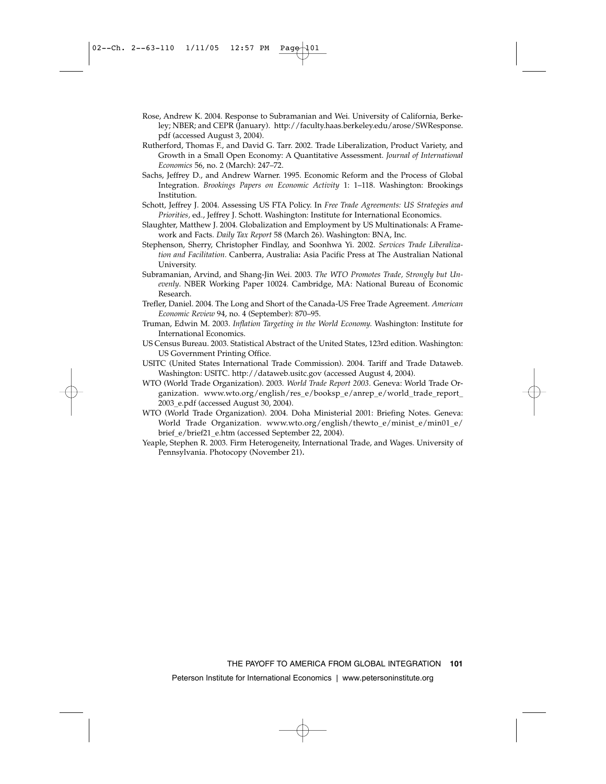- Rose, Andrew K. 2004. Response to Subramanian and Wei. University of California, Berkeley; NBER; and CEPR (January). http://faculty.haas.berkeley.edu/arose/SWResponse. pdf (accessed August 3, 2004).
- Rutherford, Thomas F., and David G. Tarr. 2002. Trade Liberalization, Product Variety, and Growth in a Small Open Economy: A Quantitative Assessment. *Journal of International Economics* 56, no. 2 (March): 247–72.
- Sachs, Jeffrey D., and Andrew Warner. 1995. Economic Reform and the Process of Global Integration. *Brookings Papers on Economic Activity* 1: 1–118. Washington: Brookings Institution.
- Schott, Jeffrey J. 2004. Assessing US FTA Policy. In *Free Trade Agreements: US Strategies and Priorities,* ed., Jeffrey J. Schott. Washington: Institute for International Economics.
- Slaughter, Matthew J. 2004. Globalization and Employment by US Multinationals: A Framework and Facts*. Daily Tax Report* 58 (March 26). Washington: BNA, Inc.
- Stephenson, Sherry, Christopher Findlay, and Soonhwa Yi. 2002. *Services Trade Liberalization and Facilitation.* Canberra, Australia**:** Asia Pacific Press at The Australian National University.
- Subramanian, Arvind, and Shang-Jin Wei. 2003. *The WTO Promotes Trade, Strongly but Unevenly*. NBER Working Paper 10024*.* Cambridge, MA: National Bureau of Economic Research.
- Trefler, Daniel. 2004. The Long and Short of the Canada-US Free Trade Agreement. *American Economic Review* 94, no. 4 (September): 870–95.
- Truman, Edwin M. 2003. *Inflation Targeting in the World Economy.* Washington: Institute for International Economics.
- US Census Bureau. 2003. Statistical Abstract of the United States, 123rd edition. Washington: US Government Printing Office.
- USITC (United States International Trade Commission). 2004. Tariff and Trade Dataweb. Washington: USITC. http://dataweb.usitc.gov (accessed August 4, 2004).
- WTO (World Trade Organization). 2003. *World Trade Report 2003.* Geneva: World Trade Organization. www.wto.org/english/res\_e/booksp\_e/anrep\_e/world\_trade\_report\_ 2003\_e.pdf (accessed August 30, 2004).
- WTO (World Trade Organization). 2004. Doha Ministerial 2001: Briefing Notes. Geneva: World Trade Organization. www.wto.org/english/thewto\_e/minist\_e/min01\_e/ brief\_e/brief21\_e.htm (accessed September 22, 2004).
- Yeaple, Stephen R. 2003. Firm Heterogeneity, International Trade, and Wages. University of Pennsylvania. Photocopy (November 21).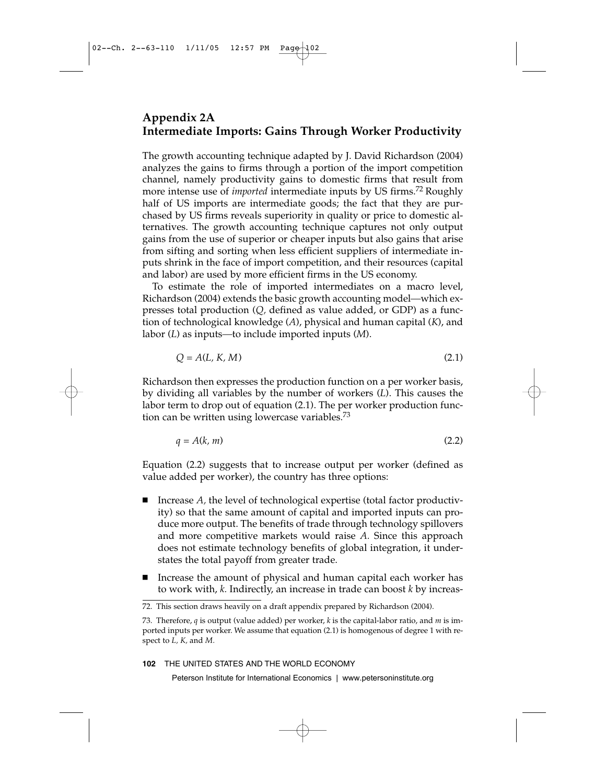# **Appendix 2A Intermediate Imports: Gains Through Worker Productivity**

The growth accounting technique adapted by J. David Richardson (2004) analyzes the gains to firms through a portion of the import competition channel, namely productivity gains to domestic firms that result from more intense use of *imported* intermediate inputs by US firms.72 Roughly half of US imports are intermediate goods; the fact that they are purchased by US firms reveals superiority in quality or price to domestic alternatives. The growth accounting technique captures not only output gains from the use of superior or cheaper inputs but also gains that arise from sifting and sorting when less efficient suppliers of intermediate inputs shrink in the face of import competition, and their resources (capital and labor) are used by more efficient firms in the US economy.

To estimate the role of imported intermediates on a macro level, Richardson (2004) extends the basic growth accounting model*—*which expresses total production (*Q,* defined as value added, or GDP) as a function of technological knowledge (*A*), physical and human capital (*K*), and labor (*L*) as inputs*—*to include imported inputs (*M*).

$$
Q = A(L, K, M) \tag{2.1}
$$

Richardson then expresses the production function on a per worker basis, by dividing all variables by the number of workers (*L*). This causes the labor term to drop out of equation (2.1). The per worker production function can be written using lowercase variables.<sup>73</sup>

$$
q = A(k, m) \tag{2.2}
$$

Equation (2.2) suggests that to increase output per worker (defined as value added per worker), the country has three options:

- Increase *A*, the level of technological expertise (total factor productivity) so that the same amount of capital and imported inputs can produce more output. The benefits of trade through technology spillovers and more competitive markets would raise *A.* Since this approach does not estimate technology benefits of global integration, it understates the total payoff from greater trade.
- **IF** Increase the amount of physical and human capital each worker has to work with, *k.* Indirectly, an increase in trade can boost *k* by increas-

#### **102** THE UNITED STATES AND THE WORLD ECONOMY

<sup>72.</sup> This section draws heavily on a draft appendix prepared by Richardson (2004).

<sup>73.</sup> Therefore, *q* is output (value added) per worker, *k* is the capital-labor ratio, and *m* is imported inputs per worker. We assume that equation (2.1) is homogenous of degree 1 with respect to *L, K,* and *M.*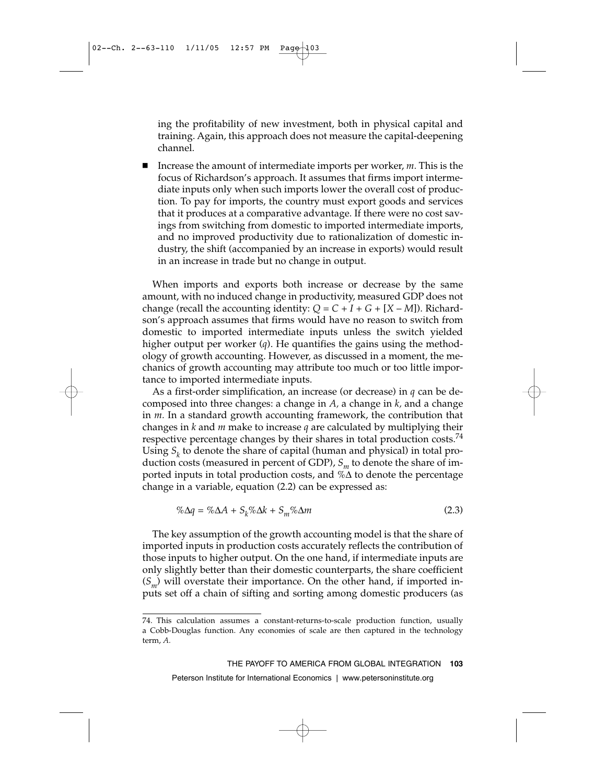ing the profitability of new investment, both in physical capital and training. Again, this approach does not measure the capital-deepening channel.

■ Increase the amount of intermediate imports per worker, *m*. This is the focus of Richardson's approach. It assumes that firms import intermediate inputs only when such imports lower the overall cost of production. To pay for imports, the country must export goods and services that it produces at a comparative advantage. If there were no cost savings from switching from domestic to imported intermediate imports, and no improved productivity due to rationalization of domestic industry, the shift (accompanied by an increase in exports) would result in an increase in trade but no change in output.

When imports and exports both increase or decrease by the same amount, with no induced change in productivity, measured GDP does not change (recall the accounting identity:  $Q = C + I + G + [X - M]$ ). Richardson's approach assumes that firms would have no reason to switch from domestic to imported intermediate inputs unless the switch yielded higher output per worker (*q*). He quantifies the gains using the methodology of growth accounting. However, as discussed in a moment, the mechanics of growth accounting may attribute too much or too little importance to imported intermediate inputs.

As a first-order simplification, an increase (or decrease) in *q* can be decomposed into three changes: a change in *A,* a change in *k,* and a change in *m.* In a standard growth accounting framework, the contribution that changes in *k* and *m* make to increase *q* are calculated by multiplying their respective percentage changes by their shares in total production costs.74 Using  $S_k$  to denote the share of capital (human and physical) in total production costs (measured in percent of GDP),  $S_m$  to denote the share of imported inputs in total production costs, and %∆ to denote the percentage change in a variable, equation (2.2) can be expressed as:

$$
\% \Delta q = \% \Delta A + S_k \% \Delta k + S_m \% \Delta m \tag{2.3}
$$

The key assumption of the growth accounting model is that the share of imported inputs in production costs accurately reflects the contribution of those inputs to higher output. On the one hand, if intermediate inputs are only slightly better than their domestic counterparts, the share coefficient  $(S_m)$  will overstate their importance. On the other hand, if imported inputs set off a chain of sifting and sorting among domestic producers (as

<sup>74.</sup> This calculation assumes a constant-returns-to-scale production function, usually a Cobb-Douglas function. Any economies of scale are then captured in the technology term, *A.*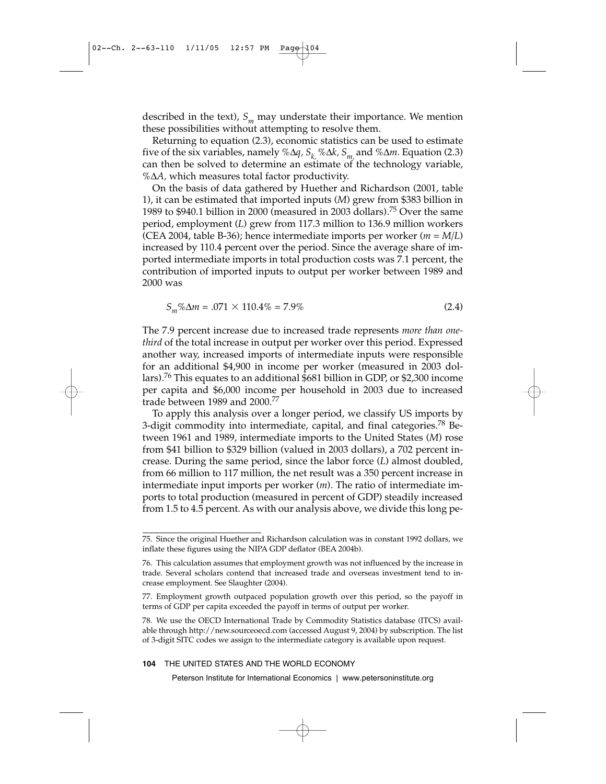described in the text),  $S_m$  may understate their importance. We mention these possibilities without attempting to resolve them.

Returning to equation (2.3), economic statistics can be used to estimate five of the six variables, namely %∆*q, Sk,* %∆*k, Sm,* and %∆*m.* Equation (2.3) can then be solved to determine an estimate of the technology variable, %∆*A,* which measures total factor productivity.

On the basis of data gathered by Huether and Richardson (2001, table 1), it can be estimated that imported inputs (*M*) grew from \$383 billion in 1989 to \$940.1 billion in 2000 (measured in 2003 dollars).<sup>75</sup> Over the same period, employment (*L*) grew from 117.3 million to 136.9 million workers (CEA 2004, table B-36); hence intermediate imports per worker (*m* = *M/L*) increased by 110.4 percent over the period. Since the average share of imported intermediate imports in total production costs was 7.1 percent, the contribution of imported inputs to output per worker between 1989 and 2000 was

$$
S_m\% \Delta m = .071 \times 110.4\% = 7.9\% \tag{2.4}
$$

The 7.9 percent increase due to increased trade represents *more than onethird* of the total increase in output per worker over this period. Expressed another way, increased imports of intermediate inputs were responsible for an additional \$4,900 in income per worker (measured in 2003 dollars).<sup>76</sup> This equates to an additional \$681 billion in GDP, or \$2,300 income per capita and \$6,000 income per household in 2003 due to increased trade between 1989 and 2000.<sup>77</sup>

To apply this analysis over a longer period, we classify US imports by 3-digit commodity into intermediate, capital, and final categories.<sup>78</sup> Between 1961 and 1989, intermediate imports to the United States (*M*) rose from \$41 billion to \$329 billion (valued in 2003 dollars), a 702 percent increase. During the same period, since the labor force (*L*) almost doubled, from 66 million to 117 million, the net result was a 350 percent increase in intermediate input imports per worker (*m*). The ratio of intermediate imports to total production (measured in percent of GDP) steadily increased from 1.5 to 4.5 percent. As with our analysis above, we divide this long pe-

#### **104** THE UNITED STATES AND THE WORLD ECONOMY

<sup>75.</sup> Since the original Huether and Richardson calculation was in constant 1992 dollars, we inflate these figures using the NIPA GDP deflator (BEA 2004b).

<sup>76.</sup> This calculation assumes that employment growth was not influenced by the increase in trade. Several scholars contend that increased trade and overseas investment tend to increase employment. See Slaughter (2004).

<sup>77.</sup> Employment growth outpaced population growth over this period, so the payoff in terms of GDP per capita exceeded the payoff in terms of output per worker.

<sup>78.</sup> We use the OECD International Trade by Commodity Statistics database (ITCS) available through http://new.sourceoecd.com (accessed August 9, 2004) by subscription. The list of 3-digit SITC codes we assign to the intermediate category is available upon request.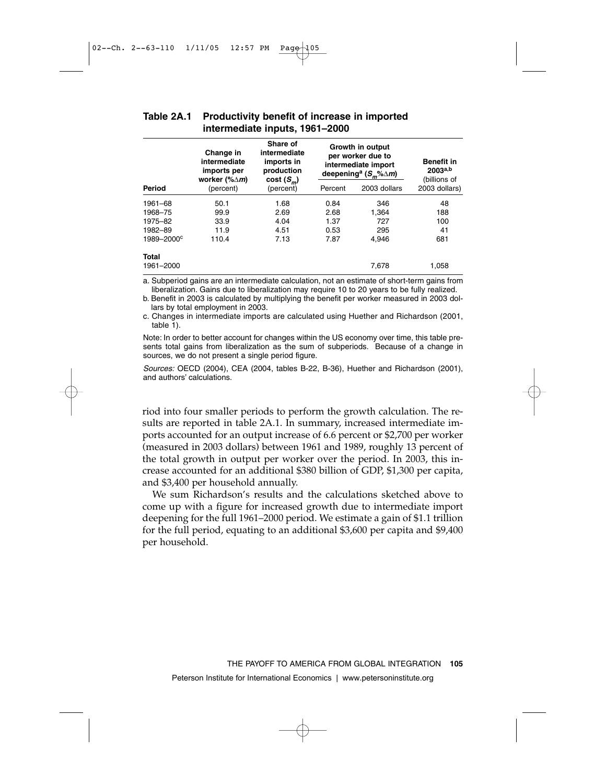| Period                 | Change in<br>intermediate<br>imports per<br>worker (% $\Delta m$ ) | Share of<br>intermediate<br>imports in<br>production<br>$cost(S_m)$ | Growth in output<br>per worker due to<br>intermediate import<br>deepening <sup>a</sup> $(S_m$ % $\triangle m)$ |              | <b>Benefit in</b><br>$2003^{a,b}$<br>(billions of |
|------------------------|--------------------------------------------------------------------|---------------------------------------------------------------------|----------------------------------------------------------------------------------------------------------------|--------------|---------------------------------------------------|
|                        | (percent)                                                          | (percent)                                                           | Percent                                                                                                        | 2003 dollars | 2003 dollars)                                     |
| 1961-68                | 50.1                                                               | 1.68                                                                | 0.84                                                                                                           | 346          | 48                                                |
| 1968-75                | 99.9                                                               | 2.69                                                                | 2.68                                                                                                           | 1.364        | 188                                               |
| 1975-82                | 33.9                                                               | 4.04                                                                | 1.37                                                                                                           | 727          | 100                                               |
| 1982-89                | 11.9                                                               | 4.51                                                                | 0.53                                                                                                           | 295          | 41                                                |
| 1989-2000 <sup>c</sup> | 110.4                                                              | 7.13                                                                | 7.87                                                                                                           | 4.946        | 681                                               |
| Total                  |                                                                    |                                                                     |                                                                                                                |              |                                                   |
| 1961-2000              |                                                                    |                                                                     |                                                                                                                | 7,678        | 1,058                                             |

### **Table 2A.1 Productivity benefit of increase in imported intermediate inputs, 1961–2000**

a. Subperiod gains are an intermediate calculation, not an estimate of short-term gains from liberalization. Gains due to liberalization may require 10 to 20 years to be fully realized.

b. Benefit in 2003 is calculated by multiplying the benefit per worker measured in 2003 dollars by total employment in 2003.

c. Changes in intermediate imports are calculated using Huether and Richardson (2001, table 1).

Note: In order to better account for changes within the US economy over time, this table presents total gains from liberalization as the sum of subperiods. Because of a change in sources, we do not present a single period figure.

*Sources:* OECD (2004), CEA (2004, tables B-22, B-36), Huether and Richardson (2001), and authors' calculations.

riod into four smaller periods to perform the growth calculation. The results are reported in table 2A.1. In summary, increased intermediate imports accounted for an output increase of 6.6 percent or \$2,700 per worker (measured in 2003 dollars) between 1961 and 1989, roughly 13 percent of the total growth in output per worker over the period. In 2003, this increase accounted for an additional \$380 billion of GDP, \$1,300 per capita, and \$3,400 per household annually.

We sum Richardson's results and the calculations sketched above to come up with a figure for increased growth due to intermediate import deepening for the full 1961–2000 period. We estimate a gain of \$1.1 trillion for the full period, equating to an additional \$3,600 per capita and \$9,400 per household.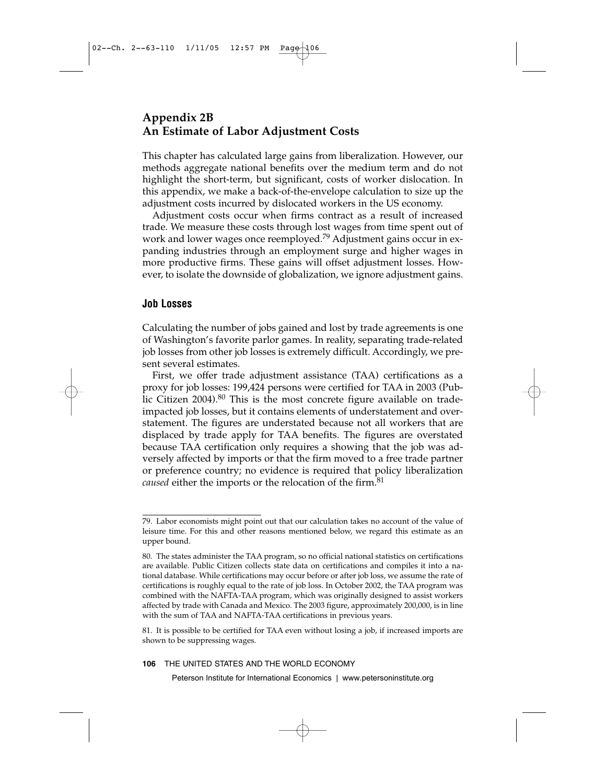# **Appendix 2B An Estimate of Labor Adjustment Costs**

This chapter has calculated large gains from liberalization. However, our methods aggregate national benefits over the medium term and do not highlight the short-term, but significant, costs of worker dislocation. In this appendix, we make a back-of-the-envelope calculation to size up the adjustment costs incurred by dislocated workers in the US economy.

Adjustment costs occur when firms contract as a result of increased trade. We measure these costs through lost wages from time spent out of work and lower wages once reemployed.<sup>79</sup> Adjustment gains occur in expanding industries through an employment surge and higher wages in more productive firms. These gains will offset adjustment losses. However, to isolate the downside of globalization, we ignore adjustment gains.

### **Job Losses**

Calculating the number of jobs gained and lost by trade agreements is one of Washington's favorite parlor games. In reality, separating trade-related job losses from other job losses is extremely difficult. Accordingly, we present several estimates.

First, we offer trade adjustment assistance (TAA) certifications as a proxy for job losses: 199,424 persons were certified for TAA in 2003 (Public Citizen 2004).<sup>80</sup> This is the most concrete figure available on tradeimpacted job losses, but it contains elements of understatement and overstatement. The figures are understated because not all workers that are displaced by trade apply for TAA benefits. The figures are overstated because TAA certification only requires a showing that the job was adversely affected by imports or that the firm moved to a free trade partner or preference country; no evidence is required that policy liberalization *caused* either the imports or the relocation of the firm.<sup>81</sup>

#### **106** THE UNITED STATES AND THE WORLD ECONOMY

<sup>79.</sup> Labor economists might point out that our calculation takes no account of the value of leisure time. For this and other reasons mentioned below, we regard this estimate as an upper bound.

<sup>80.</sup> The states administer the TAA program, so no official national statistics on certifications are available. Public Citizen collects state data on certifications and compiles it into a national database. While certifications may occur before or after job loss, we assume the rate of certifications is roughly equal to the rate of job loss. In October 2002, the TAA program was combined with the NAFTA-TAA program, which was originally designed to assist workers affected by trade with Canada and Mexico. The 2003 figure, approximately 200,000, is in line with the sum of TAA and NAFTA-TAA certifications in previous years.

<sup>81.</sup> It is possible to be certified for TAA even without losing a job, if increased imports are shown to be suppressing wages.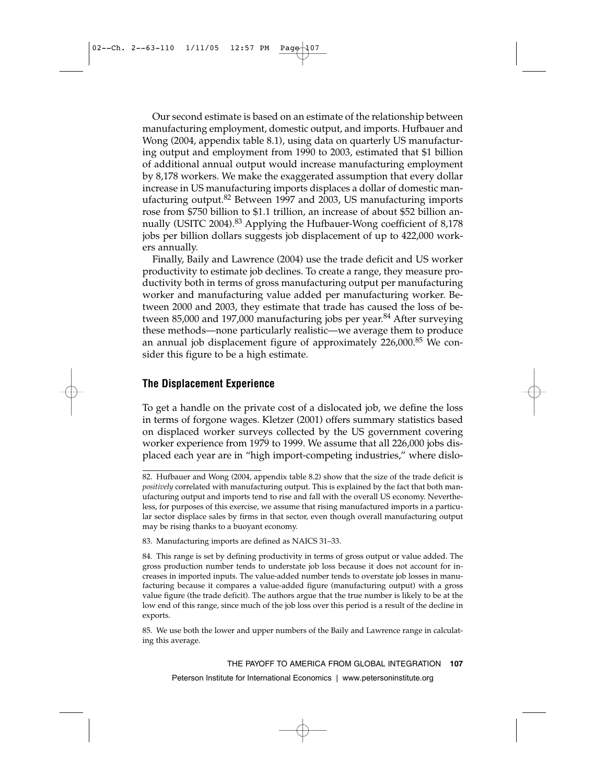Our second estimate is based on an estimate of the relationship between manufacturing employment, domestic output, and imports. Hufbauer and Wong (2004, appendix table 8.1), using data on quarterly US manufacturing output and employment from 1990 to 2003, estimated that \$1 billion of additional annual output would increase manufacturing employment by 8,178 workers. We make the exaggerated assumption that every dollar increase in US manufacturing imports displaces a dollar of domestic manufacturing output.<sup>82</sup> Between 1997 and 2003, US manufacturing imports rose from \$750 billion to \$1.1 trillion, an increase of about \$52 billion annually (USITC 2004).<sup>83</sup> Applying the Hufbauer-Wong coefficient of 8,178 jobs per billion dollars suggests job displacement of up to 422,000 workers annually.

Finally, Baily and Lawrence (2004) use the trade deficit and US worker productivity to estimate job declines. To create a range, they measure productivity both in terms of gross manufacturing output per manufacturing worker and manufacturing value added per manufacturing worker. Between 2000 and 2003, they estimate that trade has caused the loss of between 85,000 and 197,000 manufacturing jobs per year.<sup>84</sup> After surveying these methods—none particularly realistic—we average them to produce an annual job displacement figure of approximately 226,000.<sup>85</sup> We consider this figure to be a high estimate.

### **The Displacement Experience**

To get a handle on the private cost of a dislocated job, we define the loss in terms of forgone wages. Kletzer (2001) offers summary statistics based on displaced worker surveys collected by the US government covering worker experience from 1979 to 1999. We assume that all 226,000 jobs displaced each year are in "high import-competing industries," where dislo-

<sup>82.</sup> Hufbauer and Wong (2004, appendix table 8.2) show that the size of the trade deficit is *positively* correlated with manufacturing output. This is explained by the fact that both manufacturing output and imports tend to rise and fall with the overall US economy. Nevertheless, for purposes of this exercise, we assume that rising manufactured imports in a particular sector displace sales by firms in that sector, even though overall manufacturing output may be rising thanks to a buoyant economy.

<sup>83.</sup> Manufacturing imports are defined as NAICS 31–33.

<sup>84.</sup> This range is set by defining productivity in terms of gross output or value added. The gross production number tends to understate job loss because it does not account for increases in imported inputs. The value-added number tends to overstate job losses in manufacturing because it compares a value-added figure (manufacturing output) with a gross value figure (the trade deficit). The authors argue that the true number is likely to be at the low end of this range, since much of the job loss over this period is a result of the decline in exports.

<sup>85.</sup> We use both the lower and upper numbers of the Baily and Lawrence range in calculating this average.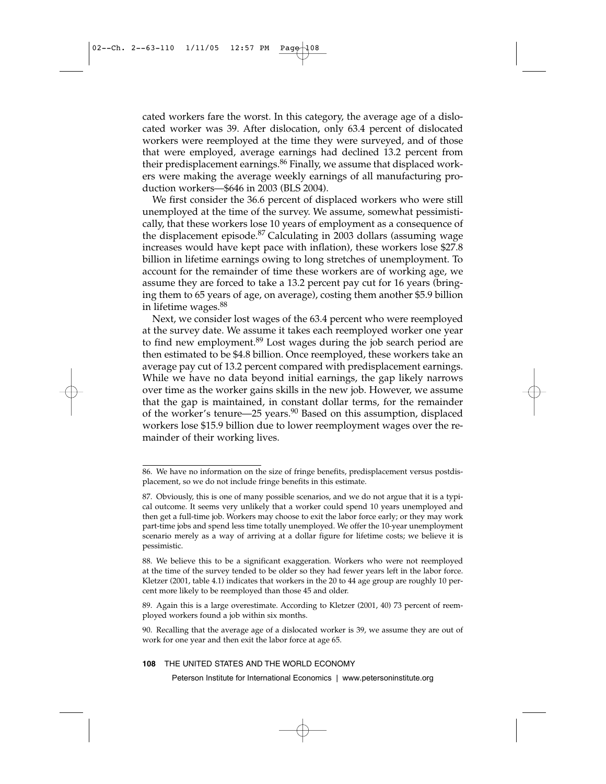cated workers fare the worst. In this category, the average age of a dislocated worker was 39. After dislocation, only 63.4 percent of dislocated workers were reemployed at the time they were surveyed, and of those that were employed, average earnings had declined 13.2 percent from their predisplacement earnings.<sup>86</sup> Finally, we assume that displaced workers were making the average weekly earnings of all manufacturing production workers—\$646 in 2003 (BLS 2004).

We first consider the 36.6 percent of displaced workers who were still unemployed at the time of the survey. We assume, somewhat pessimistically, that these workers lose 10 years of employment as a consequence of the displacement episode.<sup>87</sup> Calculating in 2003 dollars (assuming wage increases would have kept pace with inflation), these workers lose \$27.8 billion in lifetime earnings owing to long stretches of unemployment. To account for the remainder of time these workers are of working age, we assume they are forced to take a 13.2 percent pay cut for 16 years (bringing them to 65 years of age, on average), costing them another \$5.9 billion in lifetime wages.88

Next, we consider lost wages of the 63.4 percent who were reemployed at the survey date. We assume it takes each reemployed worker one year to find new employment. $89$  Lost wages during the job search period are then estimated to be \$4.8 billion. Once reemployed, these workers take an average pay cut of 13.2 percent compared with predisplacement earnings. While we have no data beyond initial earnings, the gap likely narrows over time as the worker gains skills in the new job. However, we assume that the gap is maintained, in constant dollar terms, for the remainder of the worker's tenure—25 years.<sup>90</sup> Based on this assumption, displaced workers lose \$15.9 billion due to lower reemployment wages over the remainder of their working lives.

### **108** THE UNITED STATES AND THE WORLD ECONOMY

<sup>86.</sup> We have no information on the size of fringe benefits, predisplacement versus postdisplacement, so we do not include fringe benefits in this estimate.

<sup>87.</sup> Obviously, this is one of many possible scenarios, and we do not argue that it is a typical outcome. It seems very unlikely that a worker could spend 10 years unemployed and then get a full-time job. Workers may choose to exit the labor force early; or they may work part-time jobs and spend less time totally unemployed. We offer the 10-year unemployment scenario merely as a way of arriving at a dollar figure for lifetime costs; we believe it is pessimistic.

<sup>88.</sup> We believe this to be a significant exaggeration. Workers who were not reemployed at the time of the survey tended to be older so they had fewer years left in the labor force. Kletzer (2001, table 4.1) indicates that workers in the 20 to 44 age group are roughly 10 percent more likely to be reemployed than those 45 and older.

<sup>89.</sup> Again this is a large overestimate. According to Kletzer (2001, 40) 73 percent of reemployed workers found a job within six months.

<sup>90.</sup> Recalling that the average age of a dislocated worker is 39, we assume they are out of work for one year and then exit the labor force at age 65.